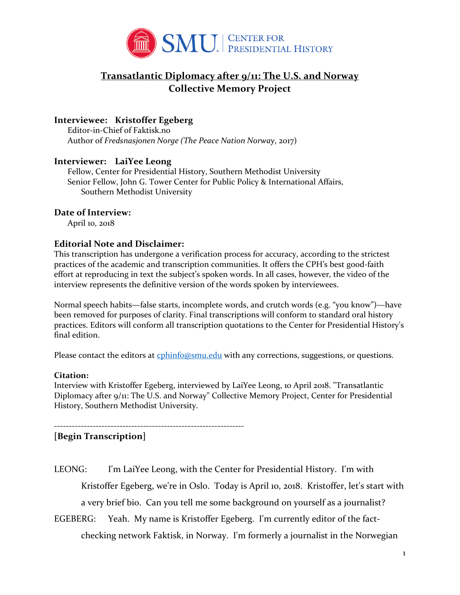

# **Transatlantic Diplomacy after 9/11: The U.S. and Norway Collective Memory Project**

# **Interviewee: Kristoffer Egeberg**

Editor-in-Chief of Faktisk.no Author of *Fredsnasjonen Norge (The Peace Nation Norway*, 2017)

# **Interviewer: LaiYee Leong**

Fellow, Center for Presidential History, Southern Methodist University Senior Fellow, John G. Tower Center for Public Policy & International Affairs, Southern Methodist University

# **Date of Interview:**

April 10, 2018

# **Editorial Note and Disclaimer:**

This transcription has undergone a verification process for accuracy, according to the strictest practices of the academic and transcription communities. It offers the CPH's best good-faith effort at reproducing in text the subject's spoken words. In all cases, however, the video of the interview represents the definitive version of the words spoken by interviewees.

Normal speech habits—false starts, incomplete words, and crutch words (e.g. "you know")—have been removed for purposes of clarity. Final transcriptions will conform to standard oral history practices. Editors will conform all transcription quotations to the Center for Presidential History's final edition.

Please contact the editors at [cphinfo@smu.edu](mailto:cphinfo@smu.edu) with any corrections, suggestions, or questions.

## **Citation:**

Interview with Kristoffer Egeberg, interviewed by LaiYee Leong, 10 April 2018. "Transatlantic Diplomacy after 9/11: The U.S. and Norway" Collective Memory Project, Center for Presidential History, Southern Methodist University.

----------------------------------------------------------------

# **[Begin Transcription]**

- LEONG: I'm LaiYee Leong, with the Center for Presidential History. I'm with Kristoffer Egeberg, we're in Oslo. Today is April 10, 2018. Kristoffer, let's start with a very brief bio. Can you tell me some background on yourself as a journalist?
- EGEBERG: Yeah. My name is Kristoffer Egeberg. I'm currently editor of the factchecking network Faktisk, in Norway. I'm formerly a journalist in the Norwegian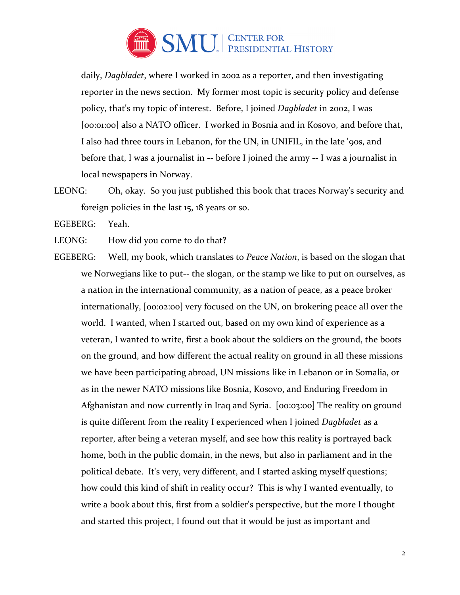

daily, *Dagbladet*, where I worked in 2002 as a reporter, and then investigating reporter in the news section. My former most topic is security policy and defense policy, that's my topic of interest. Before, I joined *Dagbladet* in 2002, I was [00:01:00] also a NATO officer. I worked in Bosnia and in Kosovo, and before that, I also had three tours in Lebanon, for the UN, in UNIFIL, in the late '90s, and before that, I was a journalist in -- before I joined the army -- I was a journalist in local newspapers in Norway.

LEONG: Oh, okay. So you just published this book that traces Norway's security and foreign policies in the last 15, 18 years or so.

EGEBERG: Yeah.

LEONG: How did you come to do that?

EGEBERG: Well, my book, which translates to *Peace Nation*, is based on the slogan that we Norwegians like to put-- the slogan, or the stamp we like to put on ourselves, as a nation in the international community, as a nation of peace, as a peace broker internationally, [00:02:00] very focused on the UN, on brokering peace all over the world. I wanted, when I started out, based on my own kind of experience as a veteran, I wanted to write, first a book about the soldiers on the ground, the boots on the ground, and how different the actual reality on ground in all these missions we have been participating abroad, UN missions like in Lebanon or in Somalia, or as in the newer NATO missions like Bosnia, Kosovo, and Enduring Freedom in Afghanistan and now currently in Iraq and Syria. [00:03:00] The reality on ground is quite different from the reality I experienced when I joined *Dagbladet* as a reporter, after being a veteran myself, and see how this reality is portrayed back home, both in the public domain, in the news, but also in parliament and in the political debate. It's very, very different, and I started asking myself questions; how could this kind of shift in reality occur? This is why I wanted eventually, to write a book about this, first from a soldier's perspective, but the more I thought and started this project, I found out that it would be just as important and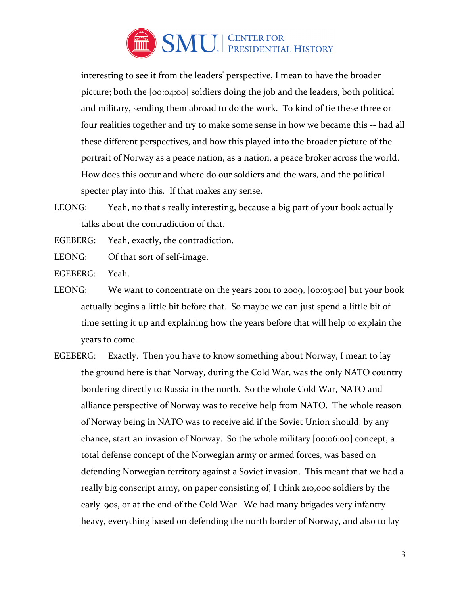

interesting to see it from the leaders' perspective, I mean to have the broader picture; both the [00:04:00] soldiers doing the job and the leaders, both political and military, sending them abroad to do the work. To kind of tie these three or four realities together and try to make some sense in how we became this -- had all these different perspectives, and how this played into the broader picture of the portrait of Norway as a peace nation, as a nation, a peace broker across the world. How does this occur and where do our soldiers and the wars, and the political specter play into this. If that makes any sense.

LEONG: Yeah, no that's really interesting, because a big part of your book actually talks about the contradiction of that.

EGEBERG: Yeah, exactly, the contradiction.

LEONG: Of that sort of self-image.

EGEBERG: Yeah.

- LEONG: We want to concentrate on the years 2001 to 2009, [00:05:00] but your book actually begins a little bit before that. So maybe we can just spend a little bit of time setting it up and explaining how the years before that will help to explain the years to come.
- EGEBERG: Exactly. Then you have to know something about Norway, I mean to lay the ground here is that Norway, during the Cold War, was the only NATO country bordering directly to Russia in the north. So the whole Cold War, NATO and alliance perspective of Norway was to receive help from NATO. The whole reason of Norway being in NATO was to receive aid if the Soviet Union should, by any chance, start an invasion of Norway. So the whole military [00:06:00] concept, a total defense concept of the Norwegian army or armed forces, was based on defending Norwegian territory against a Soviet invasion. This meant that we had a really big conscript army, on paper consisting of, I think 210,000 soldiers by the early '90s, or at the end of the Cold War. We had many brigades very infantry heavy, everything based on defending the north border of Norway, and also to lay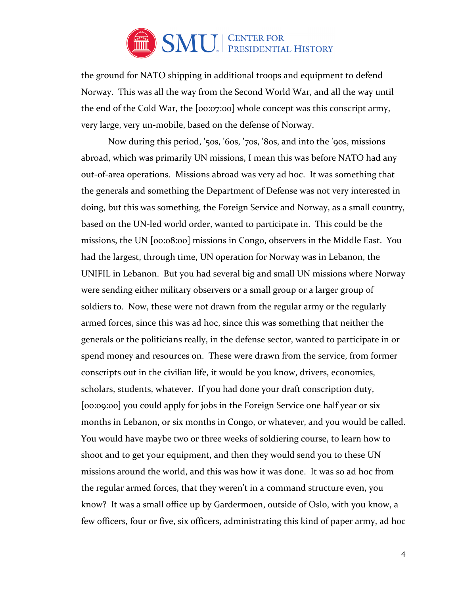

the ground for NATO shipping in additional troops and equipment to defend Norway. This was all the way from the Second World War, and all the way until the end of the Cold War, the [00:07:00] whole concept was this conscript army, very large, very un-mobile, based on the defense of Norway.

Now during this period, '50s, '60s, '70s, '80s, and into the '90s, missions abroad, which was primarily UN missions, I mean this was before NATO had any out-of-area operations. Missions abroad was very ad hoc. It was something that the generals and something the Department of Defense was not very interested in doing, but this was something, the Foreign Service and Norway, as a small country, based on the UN-led world order, wanted to participate in. This could be the missions, the UN [00:08:00] missions in Congo, observers in the Middle East. You had the largest, through time, UN operation for Norway was in Lebanon, the UNIFIL in Lebanon. But you had several big and small UN missions where Norway were sending either military observers or a small group or a larger group of soldiers to. Now, these were not drawn from the regular army or the regularly armed forces, since this was ad hoc, since this was something that neither the generals or the politicians really, in the defense sector, wanted to participate in or spend money and resources on. These were drawn from the service, from former conscripts out in the civilian life, it would be you know, drivers, economics, scholars, students, whatever. If you had done your draft conscription duty, [00:09:00] you could apply for jobs in the Foreign Service one half year or six months in Lebanon, or six months in Congo, or whatever, and you would be called. You would have maybe two or three weeks of soldiering course, to learn how to shoot and to get your equipment, and then they would send you to these UN missions around the world, and this was how it was done. It was so ad hoc from the regular armed forces, that they weren't in a command structure even, you know? It was a small office up by Gardermoen, outside of Oslo, with you know, a few officers, four or five, six officers, administrating this kind of paper army, ad hoc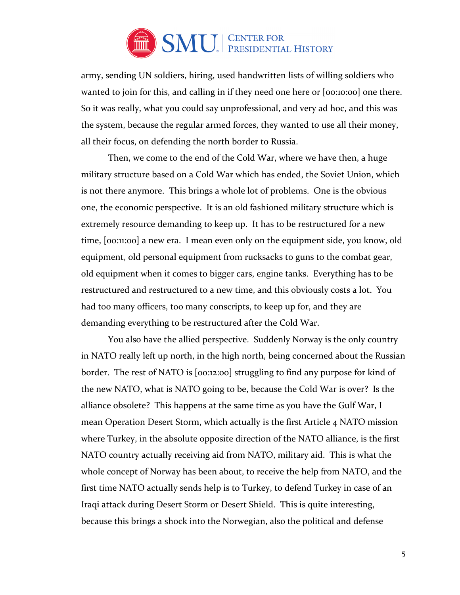

army, sending UN soldiers, hiring, used handwritten lists of willing soldiers who wanted to join for this, and calling in if they need one here or [00:10:00] one there. So it was really, what you could say unprofessional, and very ad hoc, and this was the system, because the regular armed forces, they wanted to use all their money, all their focus, on defending the north border to Russia.

 Then, we come to the end of the Cold War, where we have then, a huge military structure based on a Cold War which has ended, the Soviet Union, which is not there anymore. This brings a whole lot of problems. One is the obvious one, the economic perspective. It is an old fashioned military structure which is extremely resource demanding to keep up. It has to be restructured for a new time, [00:11:00] a new era. I mean even only on the equipment side, you know, old equipment, old personal equipment from rucksacks to guns to the combat gear, old equipment when it comes to bigger cars, engine tanks. Everything has to be restructured and restructured to a new time, and this obviously costs a lot. You had too many officers, too many conscripts, to keep up for, and they are demanding everything to be restructured after the Cold War.

You also have the allied perspective. Suddenly Norway is the only country in NATO really left up north, in the high north, being concerned about the Russian border. The rest of NATO is [00:12:00] struggling to find any purpose for kind of the new NATO, what is NATO going to be, because the Cold War is over? Is the alliance obsolete? This happens at the same time as you have the Gulf War, I mean Operation Desert Storm, which actually is the first Article 4 NATO mission where Turkey, in the absolute opposite direction of the NATO alliance, is the first NATO country actually receiving aid from NATO, military aid. This is what the whole concept of Norway has been about, to receive the help from NATO, and the first time NATO actually sends help is to Turkey, to defend Turkey in case of an Iraqi attack during Desert Storm or Desert Shield. This is quite interesting, because this brings a shock into the Norwegian, also the political and defense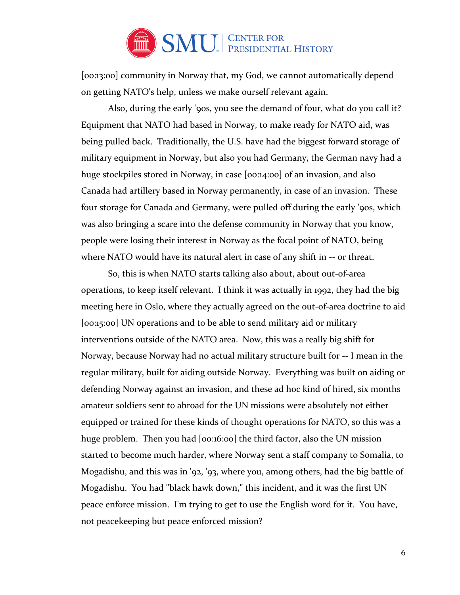

[00:13:00] community in Norway that, my God, we cannot automatically depend on getting NATO's help, unless we make ourself relevant again.

Also, during the early '90s, you see the demand of four, what do you call it? Equipment that NATO had based in Norway, to make ready for NATO aid, was being pulled back. Traditionally, the U.S. have had the biggest forward storage of military equipment in Norway, but also you had Germany, the German navy had a huge stockpiles stored in Norway, in case [00:14:00] of an invasion, and also Canada had artillery based in Norway permanently, in case of an invasion. These four storage for Canada and Germany, were pulled off during the early '90s, which was also bringing a scare into the defense community in Norway that you know, people were losing their interest in Norway as the focal point of NATO, being where NATO would have its natural alert in case of any shift in -- or threat.

So, this is when NATO starts talking also about, about out-of-area operations, to keep itself relevant. I think it was actually in 1992, they had the big meeting here in Oslo, where they actually agreed on the out-of-area doctrine to aid [00:15:00] UN operations and to be able to send military aid or military interventions outside of the NATO area. Now, this was a really big shift for Norway, because Norway had no actual military structure built for -- I mean in the regular military, built for aiding outside Norway. Everything was built on aiding or defending Norway against an invasion, and these ad hoc kind of hired, six months amateur soldiers sent to abroad for the UN missions were absolutely not either equipped or trained for these kinds of thought operations for NATO, so this was a huge problem. Then you had [00:16:00] the third factor, also the UN mission started to become much harder, where Norway sent a staff company to Somalia, to Mogadishu, and this was in '92, '93, where you, among others, had the big battle of Mogadishu. You had "black hawk down," this incident, and it was the first UN peace enforce mission. I'm trying to get to use the English word for it. You have, not peacekeeping but peace enforced mission?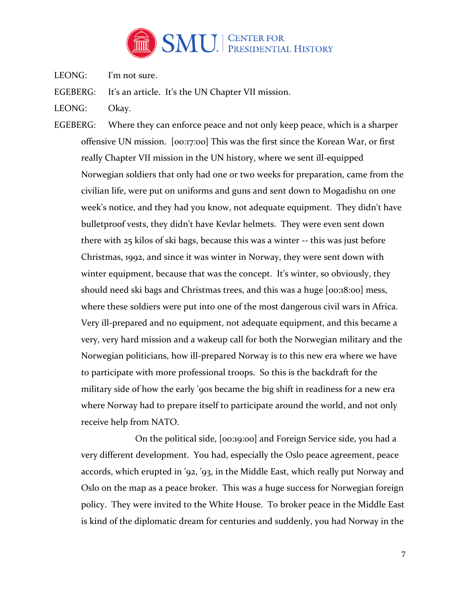

LEONG: I'm not sure.

EGEBERG: It's an article. It's the UN Chapter VII mission.

- LEONG: Okay.
- EGEBERG: Where they can enforce peace and not only keep peace, which is a sharper offensive UN mission. [00:17:00] This was the first since the Korean War, or first really Chapter VII mission in the UN history, where we sent ill-equipped Norwegian soldiers that only had one or two weeks for preparation, came from the civilian life, were put on uniforms and guns and sent down to Mogadishu on one week's notice, and they had you know, not adequate equipment. They didn't have bulletproof vests, they didn't have Kevlar helmets. They were even sent down there with 25 kilos of ski bags, because this was a winter -- this was just before Christmas, 1992, and since it was winter in Norway, they were sent down with winter equipment, because that was the concept. It's winter, so obviously, they should need ski bags and Christmas trees, and this was a huge [00:18:00] mess, where these soldiers were put into one of the most dangerous civil wars in Africa. Very ill-prepared and no equipment, not adequate equipment, and this became a very, very hard mission and a wakeup call for both the Norwegian military and the Norwegian politicians, how ill-prepared Norway is to this new era where we have to participate with more professional troops. So this is the backdraft for the military side of how the early '90s became the big shift in readiness for a new era where Norway had to prepare itself to participate around the world, and not only receive help from NATO.

 On the political side, [00:19:00] and Foreign Service side, you had a very different development. You had, especially the Oslo peace agreement, peace accords, which erupted in '92, '93, in the Middle East, which really put Norway and Oslo on the map as a peace broker. This was a huge success for Norwegian foreign policy. They were invited to the White House. To broker peace in the Middle East is kind of the diplomatic dream for centuries and suddenly, you had Norway in the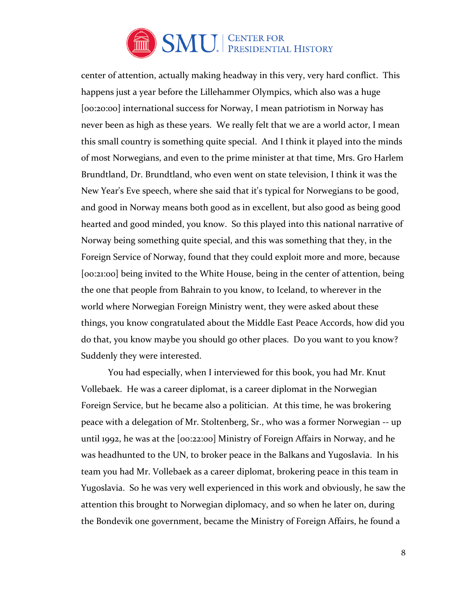

center of attention, actually making headway in this very, very hard conflict. This happens just a year before the Lillehammer Olympics, which also was a huge [00:20:00] international success for Norway, I mean patriotism in Norway has never been as high as these years. We really felt that we are a world actor, I mean this small country is something quite special. And I think it played into the minds of most Norwegians, and even to the prime minister at that time, Mrs. Gro Harlem Brundtland, Dr. Brundtland, who even went on state television, I think it was the New Year's Eve speech, where she said that it's typical for Norwegians to be good, and good in Norway means both good as in excellent, but also good as being good hearted and good minded, you know. So this played into this national narrative of Norway being something quite special, and this was something that they, in the Foreign Service of Norway, found that they could exploit more and more, because [00:21:00] being invited to the White House, being in the center of attention, being the one that people from Bahrain to you know, to Iceland, to wherever in the world where Norwegian Foreign Ministry went, they were asked about these things, you know congratulated about the Middle East Peace Accords, how did you do that, you know maybe you should go other places. Do you want to you know? Suddenly they were interested.

 You had especially, when I interviewed for this book, you had Mr. Knut Vollebaek. He was a career diplomat, is a career diplomat in the Norwegian Foreign Service, but he became also a politician. At this time, he was brokering peace with a delegation of Mr. Stoltenberg, Sr., who was a former Norwegian -- up until 1992, he was at the [00:22:00] Ministry of Foreign Affairs in Norway, and he was headhunted to the UN, to broker peace in the Balkans and Yugoslavia. In his team you had Mr. Vollebaek as a career diplomat, brokering peace in this team in Yugoslavia. So he was very well experienced in this work and obviously, he saw the attention this brought to Norwegian diplomacy, and so when he later on, during the Bondevik one government, became the Ministry of Foreign Affairs, he found a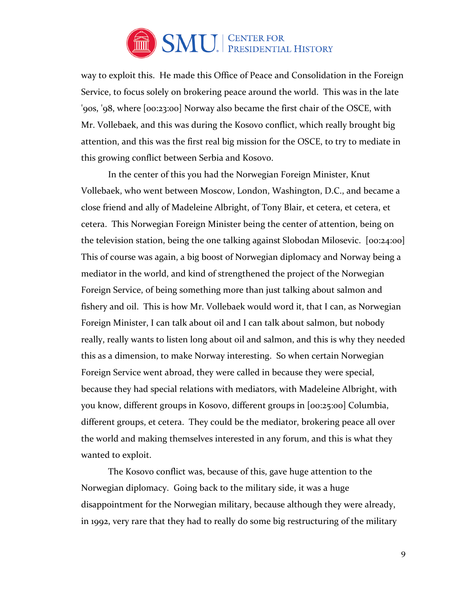

way to exploit this. He made this Office of Peace and Consolidation in the Foreign Service, to focus solely on brokering peace around the world. This was in the late '90s, '98, where [00:23:00] Norway also became the first chair of the OSCE, with Mr. Vollebaek, and this was during the Kosovo conflict, which really brought big attention, and this was the first real big mission for the OSCE, to try to mediate in this growing conflict between Serbia and Kosovo.

In the center of this you had the Norwegian Foreign Minister, Knut Vollebaek, who went between Moscow, London, Washington, D.C., and became a close friend and ally of Madeleine Albright, of Tony Blair, et cetera, et cetera, et cetera. This Norwegian Foreign Minister being the center of attention, being on the television station, being the one talking against Slobodan Milosevic. [00:24:00] This of course was again, a big boost of Norwegian diplomacy and Norway being a mediator in the world, and kind of strengthened the project of the Norwegian Foreign Service, of being something more than just talking about salmon and fishery and oil. This is how Mr. Vollebaek would word it, that I can, as Norwegian Foreign Minister, I can talk about oil and I can talk about salmon, but nobody really, really wants to listen long about oil and salmon, and this is why they needed this as a dimension, to make Norway interesting. So when certain Norwegian Foreign Service went abroad, they were called in because they were special, because they had special relations with mediators, with Madeleine Albright, with you know, different groups in Kosovo, different groups in [00:25:00] Columbia, different groups, et cetera. They could be the mediator, brokering peace all over the world and making themselves interested in any forum, and this is what they wanted to exploit.

The Kosovo conflict was, because of this, gave huge attention to the Norwegian diplomacy. Going back to the military side, it was a huge disappointment for the Norwegian military, because although they were already, in 1992, very rare that they had to really do some big restructuring of the military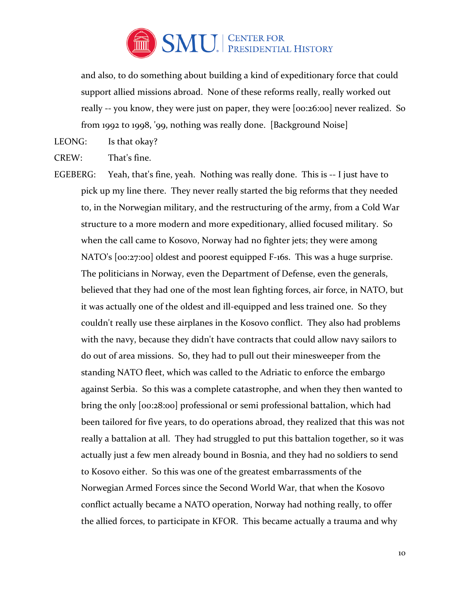

and also, to do something about building a kind of expeditionary force that could support allied missions abroad. None of these reforms really, really worked out really -- you know, they were just on paper, they were [00:26:00] never realized. So from 1992 to 1998, '99, nothing was really done. [Background Noise]

LEONG: Is that okay?

CREW: That's fine.

EGEBERG: Yeah, that's fine, yeah. Nothing was really done. This is -- I just have to pick up my line there. They never really started the big reforms that they needed to, in the Norwegian military, and the restructuring of the army, from a Cold War structure to a more modern and more expeditionary, allied focused military. So when the call came to Kosovo, Norway had no fighter jets; they were among NATO's [00:27:00] oldest and poorest equipped F-16s. This was a huge surprise. The politicians in Norway, even the Department of Defense, even the generals, believed that they had one of the most lean fighting forces, air force, in NATO, but it was actually one of the oldest and ill-equipped and less trained one. So they couldn't really use these airplanes in the Kosovo conflict. They also had problems with the navy, because they didn't have contracts that could allow navy sailors to do out of area missions. So, they had to pull out their minesweeper from the standing NATO fleet, which was called to the Adriatic to enforce the embargo against Serbia. So this was a complete catastrophe, and when they then wanted to bring the only [00:28:00] professional or semi professional battalion, which had been tailored for five years, to do operations abroad, they realized that this was not really a battalion at all. They had struggled to put this battalion together, so it was actually just a few men already bound in Bosnia, and they had no soldiers to send to Kosovo either. So this was one of the greatest embarrassments of the Norwegian Armed Forces since the Second World War, that when the Kosovo conflict actually became a NATO operation, Norway had nothing really, to offer the allied forces, to participate in KFOR. This became actually a trauma and why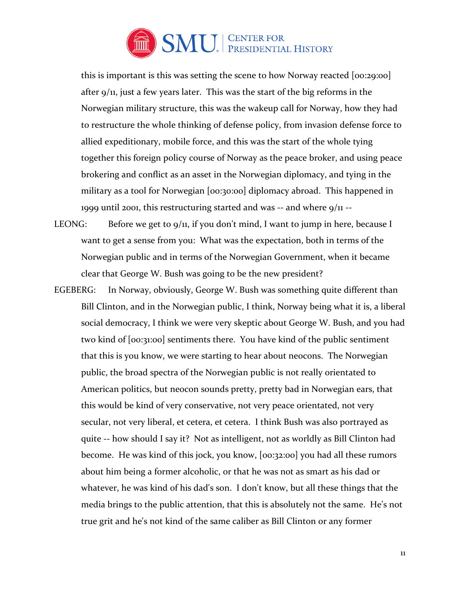

this is important is this was setting the scene to how Norway reacted [00:29:00] after 9/11, just a few years later. This was the start of the big reforms in the Norwegian military structure, this was the wakeup call for Norway, how they had to restructure the whole thinking of defense policy, from invasion defense force to allied expeditionary, mobile force, and this was the start of the whole tying together this foreign policy course of Norway as the peace broker, and using peace brokering and conflict as an asset in the Norwegian diplomacy, and tying in the military as a tool for Norwegian [00:30:00] diplomacy abroad. This happened in 1999 until 2001, this restructuring started and was  $-$  and where  $9/11 - 1$ 

- LEONG: Before we get to  $9/11$ , if you don't mind, I want to jump in here, because I want to get a sense from you: What was the expectation, both in terms of the Norwegian public and in terms of the Norwegian Government, when it became clear that George W. Bush was going to be the new president?
- EGEBERG: In Norway, obviously, George W. Bush was something quite different than Bill Clinton, and in the Norwegian public, I think, Norway being what it is, a liberal social democracy, I think we were very skeptic about George W. Bush, and you had two kind of [00:31:00] sentiments there. You have kind of the public sentiment that this is you know, we were starting to hear about neocons. The Norwegian public, the broad spectra of the Norwegian public is not really orientated to American politics, but neocon sounds pretty, pretty bad in Norwegian ears, that this would be kind of very conservative, not very peace orientated, not very secular, not very liberal, et cetera, et cetera. I think Bush was also portrayed as quite -- how should I say it? Not as intelligent, not as worldly as Bill Clinton had become. He was kind of this jock, you know, [00:32:00] you had all these rumors about him being a former alcoholic, or that he was not as smart as his dad or whatever, he was kind of his dad's son. I don't know, but all these things that the media brings to the public attention, that this is absolutely not the same. He's not true grit and he's not kind of the same caliber as Bill Clinton or any former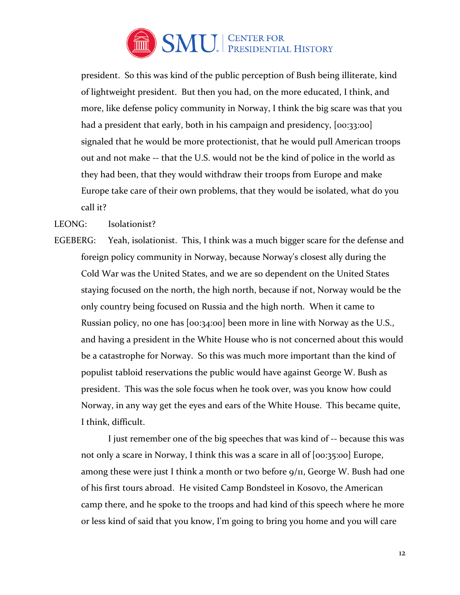

president. So this was kind of the public perception of Bush being illiterate, kind of lightweight president. But then you had, on the more educated, I think, and more, like defense policy community in Norway, I think the big scare was that you had a president that early, both in his campaign and presidency,  $[oo:33:00]$ signaled that he would be more protectionist, that he would pull American troops out and not make -- that the U.S. would not be the kind of police in the world as they had been, that they would withdraw their troops from Europe and make Europe take care of their own problems, that they would be isolated, what do you call it?

## LEONG: Isolationist?

EGEBERG: Yeah, isolationist. This, I think was a much bigger scare for the defense and foreign policy community in Norway, because Norway's closest ally during the Cold War was the United States, and we are so dependent on the United States staying focused on the north, the high north, because if not, Norway would be the only country being focused on Russia and the high north. When it came to Russian policy, no one has [00:34:00] been more in line with Norway as the U.S., and having a president in the White House who is not concerned about this would be a catastrophe for Norway. So this was much more important than the kind of populist tabloid reservations the public would have against George W. Bush as president. This was the sole focus when he took over, was you know how could Norway, in any way get the eyes and ears of the White House. This became quite, I think, difficult.

 I just remember one of the big speeches that was kind of -- because this was not only a scare in Norway, I think this was a scare in all of [00:35:00] Europe, among these were just I think a month or two before 9/11, George W. Bush had one of his first tours abroad. He visited Camp Bondsteel in Kosovo, the American camp there, and he spoke to the troops and had kind of this speech where he more or less kind of said that you know, I'm going to bring you home and you will care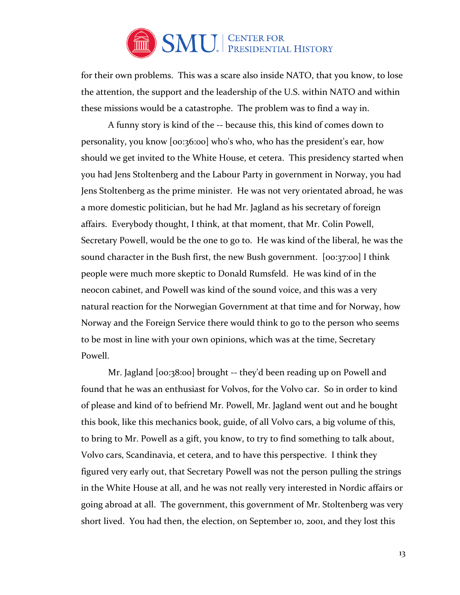

for their own problems. This was a scare also inside NATO, that you know, to lose the attention, the support and the leadership of the U.S. within NATO and within these missions would be a catastrophe. The problem was to find a way in.

 A funny story is kind of the -- because this, this kind of comes down to personality, you know [00:36:00] who's who, who has the president's ear, how should we get invited to the White House, et cetera. This presidency started when you had Jens Stoltenberg and the Labour Party in government in Norway, you had Jens Stoltenberg as the prime minister. He was not very orientated abroad, he was a more domestic politician, but he had Mr. Jagland as his secretary of foreign affairs. Everybody thought, I think, at that moment, that Mr. Colin Powell, Secretary Powell, would be the one to go to. He was kind of the liberal, he was the sound character in the Bush first, the new Bush government. [00:37:00] I think people were much more skeptic to Donald Rumsfeld. He was kind of in the neocon cabinet, and Powell was kind of the sound voice, and this was a very natural reaction for the Norwegian Government at that time and for Norway, how Norway and the Foreign Service there would think to go to the person who seems to be most in line with your own opinions, which was at the time, Secretary Powell.

Mr. Jagland [00:38:00] brought -- they'd been reading up on Powell and found that he was an enthusiast for Volvos, for the Volvo car. So in order to kind of please and kind of to befriend Mr. Powell, Mr. Jagland went out and he bought this book, like this mechanics book, guide, of all Volvo cars, a big volume of this, to bring to Mr. Powell as a gift, you know, to try to find something to talk about, Volvo cars, Scandinavia, et cetera, and to have this perspective. I think they figured very early out, that Secretary Powell was not the person pulling the strings in the White House at all, and he was not really very interested in Nordic affairs or going abroad at all. The government, this government of Mr. Stoltenberg was very short lived. You had then, the election, on September 10, 2001, and they lost this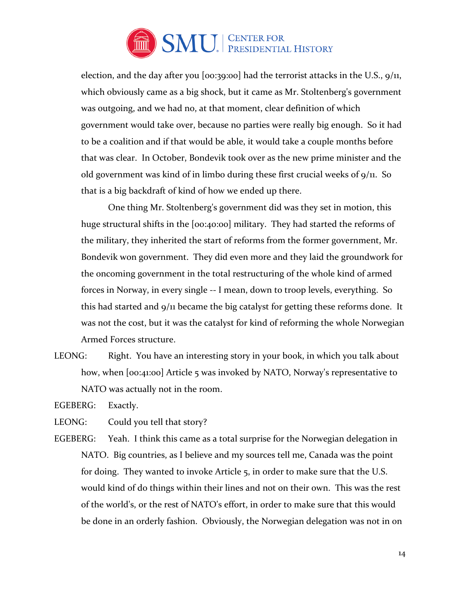

election, and the day after you  $[oo:39:00]$  had the terrorist attacks in the U.S.,  $9/11$ , which obviously came as a big shock, but it came as Mr. Stoltenberg's government was outgoing, and we had no, at that moment, clear definition of which government would take over, because no parties were really big enough. So it had to be a coalition and if that would be able, it would take a couple months before that was clear. In October, Bondevik took over as the new prime minister and the old government was kind of in limbo during these first crucial weeks of  $9/11$ . So that is a big backdraft of kind of how we ended up there.

 One thing Mr. Stoltenberg's government did was they set in motion, this huge structural shifts in the [00:40:00] military. They had started the reforms of the military, they inherited the start of reforms from the former government, Mr. Bondevik won government. They did even more and they laid the groundwork for the oncoming government in the total restructuring of the whole kind of armed forces in Norway, in every single -- I mean, down to troop levels, everything. So this had started and 9/11 became the big catalyst for getting these reforms done. It was not the cost, but it was the catalyst for kind of reforming the whole Norwegian Armed Forces structure.

LEONG: Right. You have an interesting story in your book, in which you talk about how, when [00:41:00] Article 5 was invoked by NATO, Norway's representative to NATO was actually not in the room.

EGEBERG: Exactly.

LEONG: Could you tell that story?

EGEBERG: Yeah. I think this came as a total surprise for the Norwegian delegation in NATO. Big countries, as I believe and my sources tell me, Canada was the point for doing. They wanted to invoke Article 5, in order to make sure that the U.S. would kind of do things within their lines and not on their own. This was the rest of the world's, or the rest of NATO's effort, in order to make sure that this would be done in an orderly fashion. Obviously, the Norwegian delegation was not in on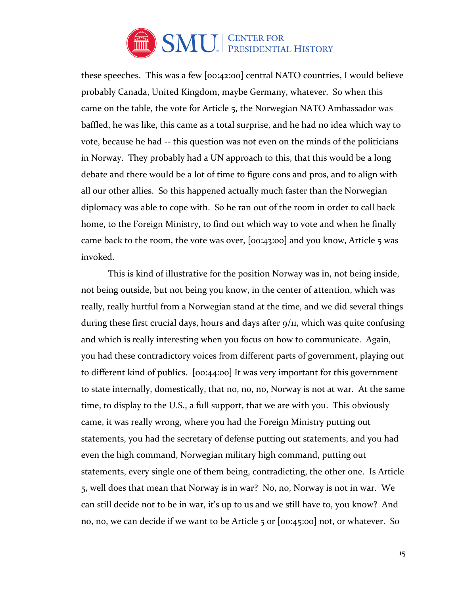

these speeches. This was a few [00:42:00] central NATO countries, I would believe probably Canada, United Kingdom, maybe Germany, whatever. So when this came on the table, the vote for Article 5, the Norwegian NATO Ambassador was baffled, he was like, this came as a total surprise, and he had no idea which way to vote, because he had -- this question was not even on the minds of the politicians in Norway. They probably had a UN approach to this, that this would be a long debate and there would be a lot of time to figure cons and pros, and to align with all our other allies. So this happened actually much faster than the Norwegian diplomacy was able to cope with. So he ran out of the room in order to call back home, to the Foreign Ministry, to find out which way to vote and when he finally came back to the room, the vote was over, [00:43:00] and you know, Article 5 was invoked.

This is kind of illustrative for the position Norway was in, not being inside, not being outside, but not being you know, in the center of attention, which was really, really hurtful from a Norwegian stand at the time, and we did several things during these first crucial days, hours and days after  $9/11$ , which was quite confusing and which is really interesting when you focus on how to communicate. Again, you had these contradictory voices from different parts of government, playing out to different kind of publics. [00:44:00] It was very important for this government to state internally, domestically, that no, no, no, Norway is not at war. At the same time, to display to the U.S., a full support, that we are with you. This obviously came, it was really wrong, where you had the Foreign Ministry putting out statements, you had the secretary of defense putting out statements, and you had even the high command, Norwegian military high command, putting out statements, every single one of them being, contradicting, the other one. Is Article 5, well does that mean that Norway is in war? No, no, Norway is not in war. We can still decide not to be in war, it's up to us and we still have to, you know? And no, no, we can decide if we want to be Article 5 or [00:45:00] not, or whatever. So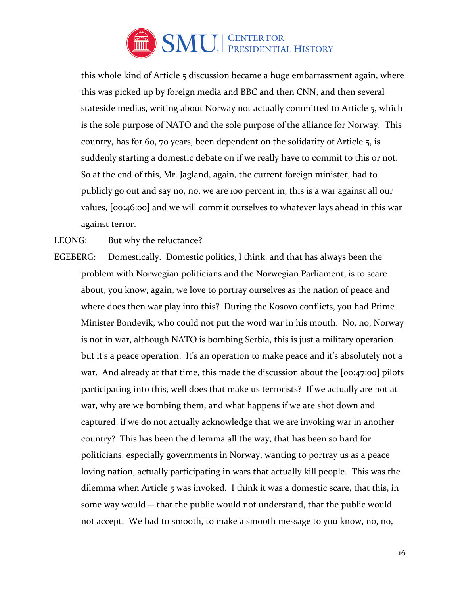

this whole kind of Article 5 discussion became a huge embarrassment again, where this was picked up by foreign media and BBC and then CNN, and then several stateside medias, writing about Norway not actually committed to Article 5, which is the sole purpose of NATO and the sole purpose of the alliance for Norway. This country, has for 60, 70 years, been dependent on the solidarity of Article 5, is suddenly starting a domestic debate on if we really have to commit to this or not. So at the end of this, Mr. Jagland, again, the current foreign minister, had to publicly go out and say no, no, we are 100 percent in, this is a war against all our values, [00:46:00] and we will commit ourselves to whatever lays ahead in this war against terror.

LEONG: But why the reluctance?

EGEBERG: Domestically. Domestic politics, I think, and that has always been the problem with Norwegian politicians and the Norwegian Parliament, is to scare about, you know, again, we love to portray ourselves as the nation of peace and where does then war play into this? During the Kosovo conflicts, you had Prime Minister Bondevik, who could not put the word war in his mouth. No, no, Norway is not in war, although NATO is bombing Serbia, this is just a military operation but it's a peace operation. It's an operation to make peace and it's absolutely not a war. And already at that time, this made the discussion about the [00:47:00] pilots participating into this, well does that make us terrorists? If we actually are not at war, why are we bombing them, and what happens if we are shot down and captured, if we do not actually acknowledge that we are invoking war in another country? This has been the dilemma all the way, that has been so hard for politicians, especially governments in Norway, wanting to portray us as a peace loving nation, actually participating in wars that actually kill people. This was the dilemma when Article 5 was invoked. I think it was a domestic scare, that this, in some way would -- that the public would not understand, that the public would not accept. We had to smooth, to make a smooth message to you know, no, no,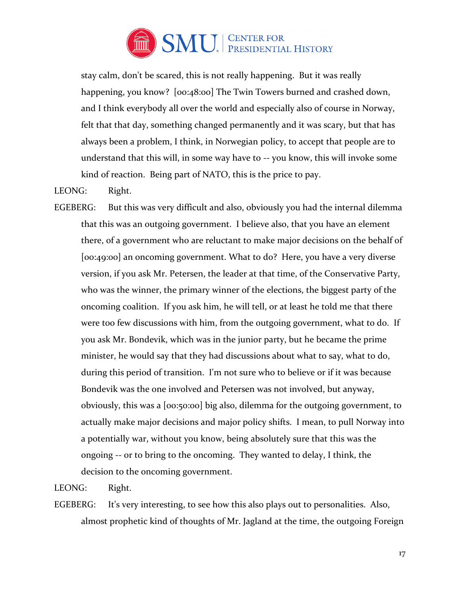

stay calm, don't be scared, this is not really happening. But it was really happening, you know? [00:48:00] The Twin Towers burned and crashed down, and I think everybody all over the world and especially also of course in Norway, felt that that day, something changed permanently and it was scary, but that has always been a problem, I think, in Norwegian policy, to accept that people are to understand that this will, in some way have to -- you know, this will invoke some kind of reaction. Being part of NATO, this is the price to pay.

# LEONG: Right.

EGEBERG: But this was very difficult and also, obviously you had the internal dilemma that this was an outgoing government. I believe also, that you have an element there, of a government who are reluctant to make major decisions on the behalf of [00:49:00] an oncoming government. What to do? Here, you have a very diverse version, if you ask Mr. Petersen, the leader at that time, of the Conservative Party, who was the winner, the primary winner of the elections, the biggest party of the oncoming coalition. If you ask him, he will tell, or at least he told me that there were too few discussions with him, from the outgoing government, what to do. If you ask Mr. Bondevik, which was in the junior party, but he became the prime minister, he would say that they had discussions about what to say, what to do, during this period of transition. I'm not sure who to believe or if it was because Bondevik was the one involved and Petersen was not involved, but anyway, obviously, this was a [00:50:00] big also, dilemma for the outgoing government, to actually make major decisions and major policy shifts. I mean, to pull Norway into a potentially war, without you know, being absolutely sure that this was the ongoing -- or to bring to the oncoming. They wanted to delay, I think, the decision to the oncoming government.

LEONG: Right.

EGEBERG: It's very interesting, to see how this also plays out to personalities. Also, almost prophetic kind of thoughts of Mr. Jagland at the time, the outgoing Foreign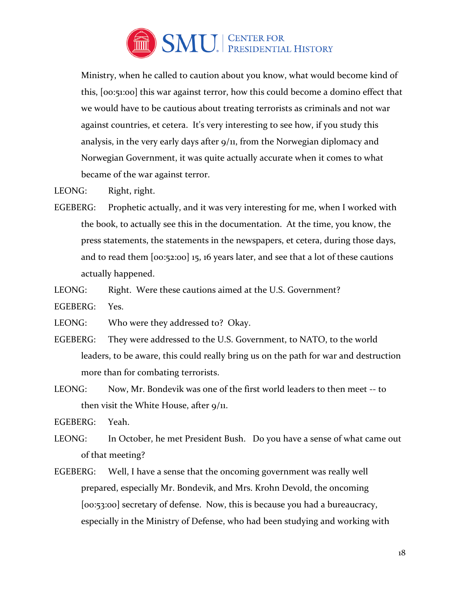

Ministry, when he called to caution about you know, what would become kind of this, [00:51:00] this war against terror, how this could become a domino effect that we would have to be cautious about treating terrorists as criminals and not war against countries, et cetera. It's very interesting to see how, if you study this analysis, in the very early days after 9/11, from the Norwegian diplomacy and Norwegian Government, it was quite actually accurate when it comes to what became of the war against terror.

LEONG: Right, right.

- EGEBERG: Prophetic actually, and it was very interesting for me, when I worked with the book, to actually see this in the documentation. At the time, you know, the press statements, the statements in the newspapers, et cetera, during those days, and to read them [00:52:00] 15, 16 years later, and see that a lot of these cautions actually happened.
- LEONG: Right. Were these cautions aimed at the U.S. Government?
- EGEBERG: Yes.
- LEONG: Who were they addressed to? Okay.
- EGEBERG: They were addressed to the U.S. Government, to NATO, to the world leaders, to be aware, this could really bring us on the path for war and destruction more than for combating terrorists.
- LEONG: Now, Mr. Bondevik was one of the first world leaders to then meet -- to then visit the White House, after  $9/11$ .

EGEBERG: Yeah.

- LEONG: In October, he met President Bush. Do you have a sense of what came out of that meeting?
- EGEBERG: Well, I have a sense that the oncoming government was really well prepared, especially Mr. Bondevik, and Mrs. Krohn Devold, the oncoming [00:53:00] secretary of defense. Now, this is because you had a bureaucracy, especially in the Ministry of Defense, who had been studying and working with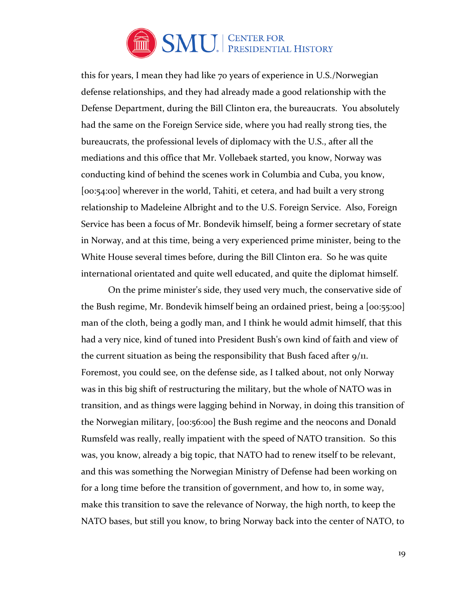

this for years, I mean they had like 70 years of experience in U.S./Norwegian defense relationships, and they had already made a good relationship with the Defense Department, during the Bill Clinton era, the bureaucrats. You absolutely had the same on the Foreign Service side, where you had really strong ties, the bureaucrats, the professional levels of diplomacy with the U.S., after all the mediations and this office that Mr. Vollebaek started, you know, Norway was conducting kind of behind the scenes work in Columbia and Cuba, you know, [00:54:00] wherever in the world, Tahiti, et cetera, and had built a very strong relationship to Madeleine Albright and to the U.S. Foreign Service. Also, Foreign Service has been a focus of Mr. Bondevik himself, being a former secretary of state in Norway, and at this time, being a very experienced prime minister, being to the White House several times before, during the Bill Clinton era. So he was quite international orientated and quite well educated, and quite the diplomat himself.

 On the prime minister's side, they used very much, the conservative side of the Bush regime, Mr. Bondevik himself being an ordained priest, being a [00:55:00] man of the cloth, being a godly man, and I think he would admit himself, that this had a very nice, kind of tuned into President Bush's own kind of faith and view of the current situation as being the responsibility that Bush faced after 9/11. Foremost, you could see, on the defense side, as I talked about, not only Norway was in this big shift of restructuring the military, but the whole of NATO was in transition, and as things were lagging behind in Norway, in doing this transition of the Norwegian military, [00:56:00] the Bush regime and the neocons and Donald Rumsfeld was really, really impatient with the speed of NATO transition. So this was, you know, already a big topic, that NATO had to renew itself to be relevant, and this was something the Norwegian Ministry of Defense had been working on for a long time before the transition of government, and how to, in some way, make this transition to save the relevance of Norway, the high north, to keep the NATO bases, but still you know, to bring Norway back into the center of NATO, to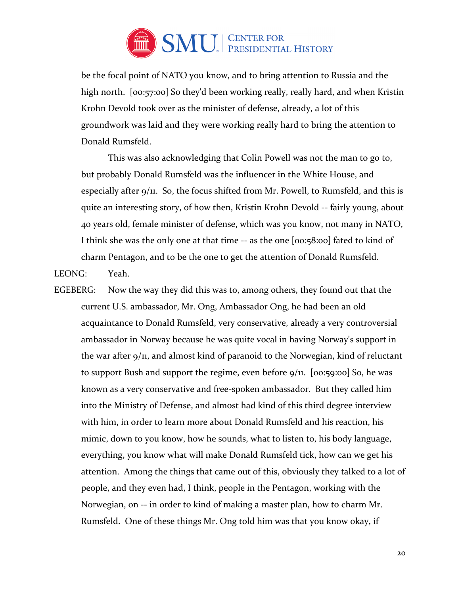

be the focal point of NATO you know, and to bring attention to Russia and the high north. [00:57:00] So they'd been working really, really hard, and when Kristin Krohn Devold took over as the minister of defense, already, a lot of this groundwork was laid and they were working really hard to bring the attention to Donald Rumsfeld.

This was also acknowledging that Colin Powell was not the man to go to, but probably Donald Rumsfeld was the influencer in the White House, and especially after 9/11. So, the focus shifted from Mr. Powell, to Rumsfeld, and this is quite an interesting story, of how then, Kristin Krohn Devold -- fairly young, about 40 years old, female minister of defense, which was you know, not many in NATO, I think she was the only one at that time -- as the one [00:58:00] fated to kind of charm Pentagon, and to be the one to get the attention of Donald Rumsfeld.

LEONG: Yeah.

EGEBERG: Now the way they did this was to, among others, they found out that the current U.S. ambassador, Mr. Ong, Ambassador Ong, he had been an old acquaintance to Donald Rumsfeld, very conservative, already a very controversial ambassador in Norway because he was quite vocal in having Norway's support in the war after 9/11, and almost kind of paranoid to the Norwegian, kind of reluctant to support Bush and support the regime, even before  $9/11$ . [00:59:00] So, he was known as a very conservative and free-spoken ambassador. But they called him into the Ministry of Defense, and almost had kind of this third degree interview with him, in order to learn more about Donald Rumsfeld and his reaction, his mimic, down to you know, how he sounds, what to listen to, his body language, everything, you know what will make Donald Rumsfeld tick, how can we get his attention. Among the things that came out of this, obviously they talked to a lot of people, and they even had, I think, people in the Pentagon, working with the Norwegian, on -- in order to kind of making a master plan, how to charm Mr. Rumsfeld. One of these things Mr. Ong told him was that you know okay, if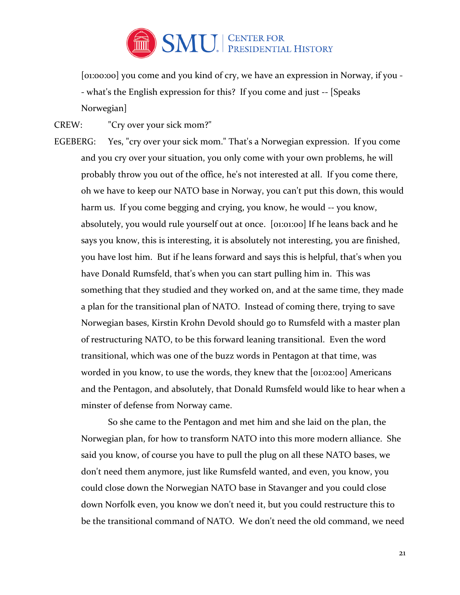

[01:00:00] you come and you kind of cry, we have an expression in Norway, if you -- what's the English expression for this? If you come and just -- [Speaks Norwegian]

- CREW: "Cry over your sick mom?"
- EGEBERG: Yes, "cry over your sick mom." That's a Norwegian expression. If you come and you cry over your situation, you only come with your own problems, he will probably throw you out of the office, he's not interested at all. If you come there, oh we have to keep our NATO base in Norway, you can't put this down, this would harm us. If you come begging and crying, you know, he would -- you know, absolutely, you would rule yourself out at once. [01:01:00] If he leans back and he says you know, this is interesting, it is absolutely not interesting, you are finished, you have lost him. But if he leans forward and says this is helpful, that's when you have Donald Rumsfeld, that's when you can start pulling him in. This was something that they studied and they worked on, and at the same time, they made a plan for the transitional plan of NATO. Instead of coming there, trying to save Norwegian bases, Kirstin Krohn Devold should go to Rumsfeld with a master plan of restructuring NATO, to be this forward leaning transitional. Even the word transitional, which was one of the buzz words in Pentagon at that time, was worded in you know, to use the words, they knew that the [01:02:00] Americans and the Pentagon, and absolutely, that Donald Rumsfeld would like to hear when a minster of defense from Norway came.

So she came to the Pentagon and met him and she laid on the plan, the Norwegian plan, for how to transform NATO into this more modern alliance. She said you know, of course you have to pull the plug on all these NATO bases, we don't need them anymore, just like Rumsfeld wanted, and even, you know, you could close down the Norwegian NATO base in Stavanger and you could close down Norfolk even, you know we don't need it, but you could restructure this to be the transitional command of NATO. We don't need the old command, we need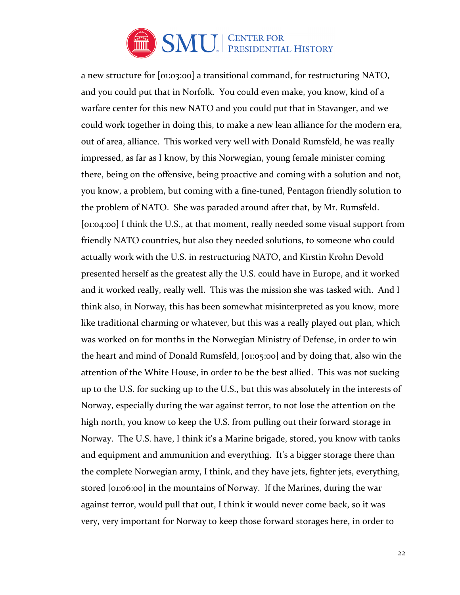

a new structure for [01:03:00] a transitional command, for restructuring NATO, and you could put that in Norfolk. You could even make, you know, kind of a warfare center for this new NATO and you could put that in Stavanger, and we could work together in doing this, to make a new lean alliance for the modern era, out of area, alliance. This worked very well with Donald Rumsfeld, he was really impressed, as far as I know, by this Norwegian, young female minister coming there, being on the offensive, being proactive and coming with a solution and not, you know, a problem, but coming with a fine-tuned, Pentagon friendly solution to the problem of NATO. She was paraded around after that, by Mr. Rumsfeld. [01:04:00] I think the U.S., at that moment, really needed some visual support from friendly NATO countries, but also they needed solutions, to someone who could actually work with the U.S. in restructuring NATO, and Kirstin Krohn Devold presented herself as the greatest ally the U.S. could have in Europe, and it worked and it worked really, really well. This was the mission she was tasked with. And I think also, in Norway, this has been somewhat misinterpreted as you know, more like traditional charming or whatever, but this was a really played out plan, which was worked on for months in the Norwegian Ministry of Defense, in order to win the heart and mind of Donald Rumsfeld, [01:05:00] and by doing that, also win the attention of the White House, in order to be the best allied. This was not sucking up to the U.S. for sucking up to the U.S., but this was absolutely in the interests of Norway, especially during the war against terror, to not lose the attention on the high north, you know to keep the U.S. from pulling out their forward storage in Norway. The U.S. have, I think it's a Marine brigade, stored, you know with tanks and equipment and ammunition and everything. It's a bigger storage there than the complete Norwegian army, I think, and they have jets, fighter jets, everything, stored [01:06:00] in the mountains of Norway. If the Marines, during the war against terror, would pull that out, I think it would never come back, so it was very, very important for Norway to keep those forward storages here, in order to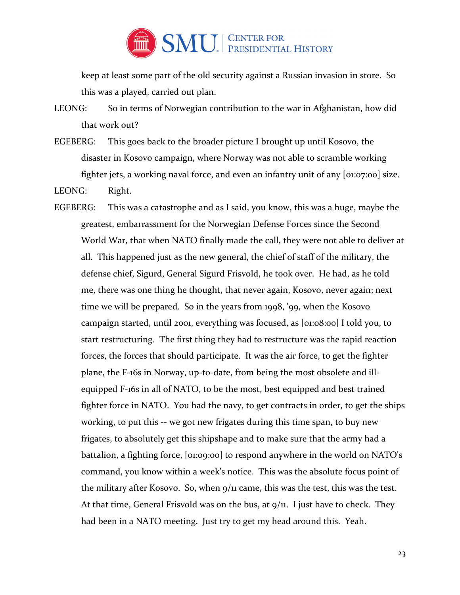

keep at least some part of the old security against a Russian invasion in store. So this was a played, carried out plan.

- LEONG: So in terms of Norwegian contribution to the war in Afghanistan, how did that work out?
- EGEBERG: This goes back to the broader picture I brought up until Kosovo, the disaster in Kosovo campaign, where Norway was not able to scramble working fighter jets, a working naval force, and even an infantry unit of any [01:07:00] size.

LEONG: Right.

EGEBERG: This was a catastrophe and as I said, you know, this was a huge, maybe the greatest, embarrassment for the Norwegian Defense Forces since the Second World War, that when NATO finally made the call, they were not able to deliver at all. This happened just as the new general, the chief of staff of the military, the defense chief, Sigurd, General Sigurd Frisvold, he took over. He had, as he told me, there was one thing he thought, that never again, Kosovo, never again; next time we will be prepared. So in the years from 1998, '99, when the Kosovo campaign started, until 2001, everything was focused, as [01:08:00] I told you, to start restructuring. The first thing they had to restructure was the rapid reaction forces, the forces that should participate. It was the air force, to get the fighter plane, the F-16s in Norway, up-to-date, from being the most obsolete and illequipped F-16s in all of NATO, to be the most, best equipped and best trained fighter force in NATO. You had the navy, to get contracts in order, to get the ships working, to put this -- we got new frigates during this time span, to buy new frigates, to absolutely get this shipshape and to make sure that the army had a battalion, a fighting force, [01:09:00] to respond anywhere in the world on NATO's command, you know within a week's notice. This was the absolute focus point of the military after Kosovo. So, when 9/11 came, this was the test, this was the test. At that time, General Frisvold was on the bus, at 9/11. I just have to check. They had been in a NATO meeting. Just try to get my head around this. Yeah.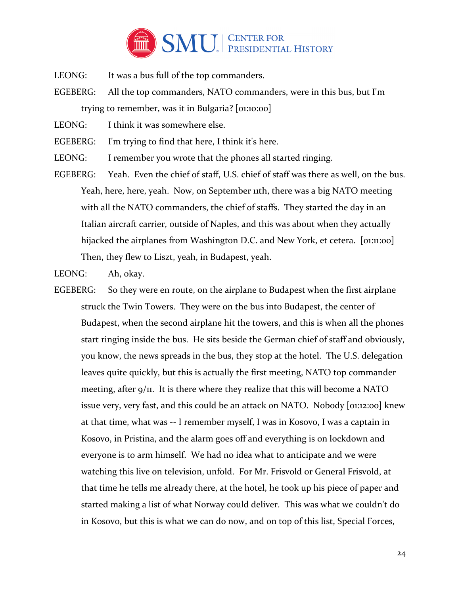

- LEONG: It was a bus full of the top commanders.
- EGEBERG: All the top commanders, NATO commanders, were in this bus, but I'm trying to remember, was it in Bulgaria? [01:10:00]
- LEONG: I think it was somewhere else.
- EGEBERG: I'm trying to find that here, I think it's here.
- LEONG: I remember you wrote that the phones all started ringing.
- EGEBERG: Yeah. Even the chief of staff, U.S. chief of staff was there as well, on the bus. Yeah, here, here, yeah. Now, on September 11th, there was a big NATO meeting with all the NATO commanders, the chief of staffs. They started the day in an Italian aircraft carrier, outside of Naples, and this was about when they actually hijacked the airplanes from Washington D.C. and New York, et cetera. [01:11:00] Then, they flew to Liszt, yeah, in Budapest, yeah.

LEONG: Ah, okay.

EGEBERG: So they were en route, on the airplane to Budapest when the first airplane struck the Twin Towers. They were on the bus into Budapest, the center of Budapest, when the second airplane hit the towers, and this is when all the phones start ringing inside the bus. He sits beside the German chief of staff and obviously, you know, the news spreads in the bus, they stop at the hotel. The U.S. delegation leaves quite quickly, but this is actually the first meeting, NATO top commander meeting, after 9/11. It is there where they realize that this will become a NATO issue very, very fast, and this could be an attack on NATO. Nobody [01:12:00] knew at that time, what was -- I remember myself, I was in Kosovo, I was a captain in Kosovo, in Pristina, and the alarm goes off and everything is on lockdown and everyone is to arm himself. We had no idea what to anticipate and we were watching this live on television, unfold. For Mr. Frisvold or General Frisvold, at that time he tells me already there, at the hotel, he took up his piece of paper and started making a list of what Norway could deliver. This was what we couldn't do in Kosovo, but this is what we can do now, and on top of this list, Special Forces,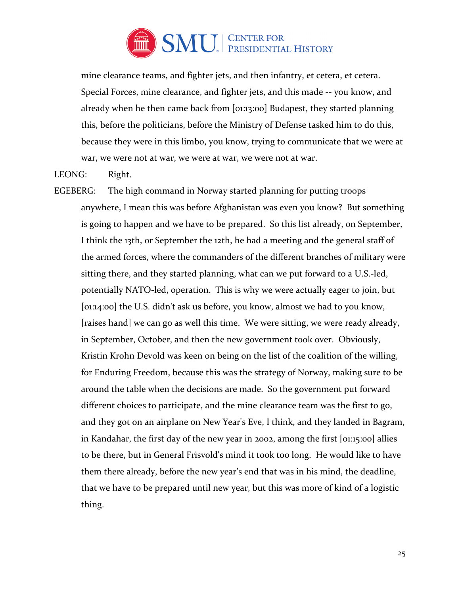

mine clearance teams, and fighter jets, and then infantry, et cetera, et cetera. Special Forces, mine clearance, and fighter jets, and this made -- you know, and already when he then came back from [01:13:00] Budapest, they started planning this, before the politicians, before the Ministry of Defense tasked him to do this, because they were in this limbo, you know, trying to communicate that we were at war, we were not at war, we were at war, we were not at war.

#### LEONG: Right.

EGEBERG: The high command in Norway started planning for putting troops anywhere, I mean this was before Afghanistan was even you know? But something is going to happen and we have to be prepared. So this list already, on September, I think the 13th, or September the 12th, he had a meeting and the general staff of the armed forces, where the commanders of the different branches of military were sitting there, and they started planning, what can we put forward to a U.S.-led, potentially NATO-led, operation. This is why we were actually eager to join, but [01:14:00] the U.S. didn't ask us before, you know, almost we had to you know, [raises hand] we can go as well this time. We were sitting, we were ready already, in September, October, and then the new government took over. Obviously, Kristin Krohn Devold was keen on being on the list of the coalition of the willing, for Enduring Freedom, because this was the strategy of Norway, making sure to be around the table when the decisions are made. So the government put forward different choices to participate, and the mine clearance team was the first to go, and they got on an airplane on New Year's Eve, I think, and they landed in Bagram, in Kandahar, the first day of the new year in 2002, among the first [01:15:00] allies to be there, but in General Frisvold's mind it took too long. He would like to have them there already, before the new year's end that was in his mind, the deadline, that we have to be prepared until new year, but this was more of kind of a logistic thing.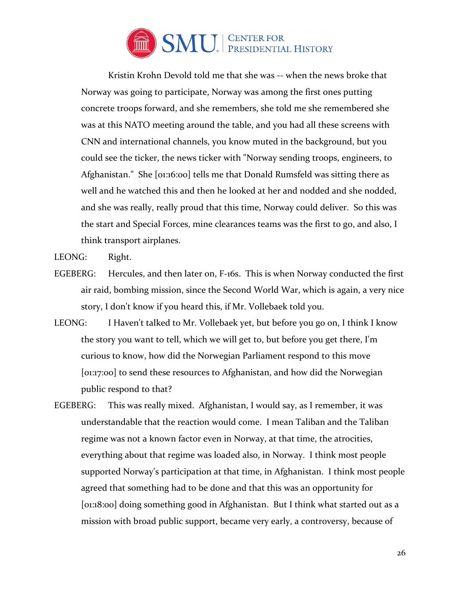

 Kristin Krohn Devold told me that she was -- when the news broke that Norway was going to participate, Norway was among the first ones putting concrete troops forward, and she remembers, she told me she remembered she was at this NATO meeting around the table, and you had all these screens with CNN and international channels, you know muted in the background, but you could see the ticker, the news ticker with "Norway sending troops, engineers, to Afghanistan." She [01:16:00] tells me that Donald Rumsfeld was sitting there as well and he watched this and then he looked at her and nodded and she nodded, and she was really, really proud that this time, Norway could deliver. So this was the start and Special Forces, mine clearances teams was the first to go, and also, I think transport airplanes.

LEONG: Right.

- EGEBERG: Hercules, and then later on, F-16s. This is when Norway conducted the first air raid, bombing mission, since the Second World War, which is again, a very nice story, I don't know if you heard this, if Mr. Vollebaek told you.
- LEONG: I Haven't talked to Mr. Vollebaek yet, but before you go on, I think I know the story you want to tell, which we will get to, but before you get there, I'm curious to know, how did the Norwegian Parliament respond to this move [01:17:00] to send these resources to Afghanistan, and how did the Norwegian public respond to that?
- EGEBERG: This was really mixed. Afghanistan, I would say, as I remember, it was understandable that the reaction would come. I mean Taliban and the Taliban regime was not a known factor even in Norway, at that time, the atrocities, everything about that regime was loaded also, in Norway. I think most people supported Norway's participation at that time, in Afghanistan. I think most people agreed that something had to be done and that this was an opportunity for [01:18:00] doing something good in Afghanistan. But I think what started out as a mission with broad public support, became very early, a controversy, because of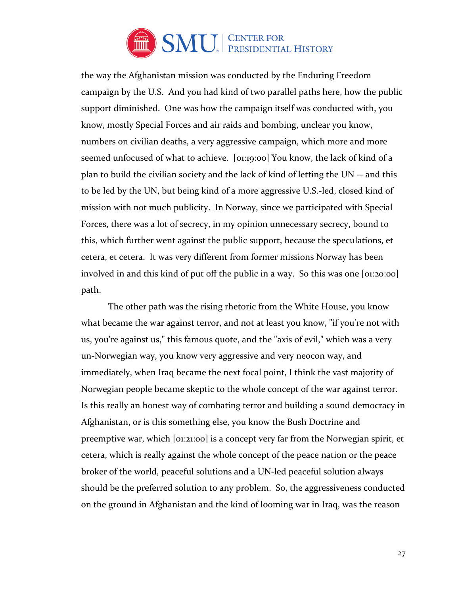

the way the Afghanistan mission was conducted by the Enduring Freedom campaign by the U.S. And you had kind of two parallel paths here, how the public support diminished. One was how the campaign itself was conducted with, you know, mostly Special Forces and air raids and bombing, unclear you know, numbers on civilian deaths, a very aggressive campaign, which more and more seemed unfocused of what to achieve. [01:19:00] You know, the lack of kind of a plan to build the civilian society and the lack of kind of letting the UN -- and this to be led by the UN, but being kind of a more aggressive U.S.-led, closed kind of mission with not much publicity. In Norway, since we participated with Special Forces, there was a lot of secrecy, in my opinion unnecessary secrecy, bound to this, which further went against the public support, because the speculations, et cetera, et cetera. It was very different from former missions Norway has been involved in and this kind of put off the public in a way. So this was one [01:20:00] path.

 The other path was the rising rhetoric from the White House, you know what became the war against terror, and not at least you know, "if you're not with us, you're against us," this famous quote, and the "axis of evil," which was a very un-Norwegian way, you know very aggressive and very neocon way, and immediately, when Iraq became the next focal point, I think the vast majority of Norwegian people became skeptic to the whole concept of the war against terror. Is this really an honest way of combating terror and building a sound democracy in Afghanistan, or is this something else, you know the Bush Doctrine and preemptive war, which [01:21:00] is a concept very far from the Norwegian spirit, et cetera, which is really against the whole concept of the peace nation or the peace broker of the world, peaceful solutions and a UN-led peaceful solution always should be the preferred solution to any problem. So, the aggressiveness conducted on the ground in Afghanistan and the kind of looming war in Iraq, was the reason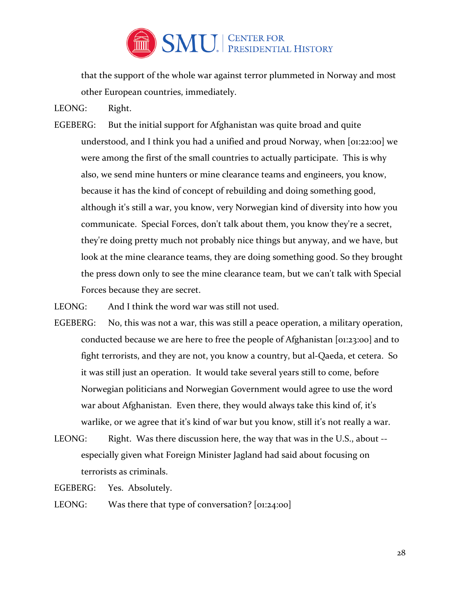

that the support of the whole war against terror plummeted in Norway and most other European countries, immediately.

LEONG: Right.

EGEBERG: But the initial support for Afghanistan was quite broad and quite understood, and I think you had a unified and proud Norway, when [01:22:00] we were among the first of the small countries to actually participate. This is why also, we send mine hunters or mine clearance teams and engineers, you know, because it has the kind of concept of rebuilding and doing something good, although it's still a war, you know, very Norwegian kind of diversity into how you communicate. Special Forces, don't talk about them, you know they're a secret, they're doing pretty much not probably nice things but anyway, and we have, but look at the mine clearance teams, they are doing something good. So they brought the press down only to see the mine clearance team, but we can't talk with Special Forces because they are secret.

LEONG: And I think the word war was still not used.

- EGEBERG: No, this was not a war, this was still a peace operation, a military operation, conducted because we are here to free the people of Afghanistan [01:23:00] and to fight terrorists, and they are not, you know a country, but al-Qaeda, et cetera. So it was still just an operation. It would take several years still to come, before Norwegian politicians and Norwegian Government would agree to use the word war about Afghanistan. Even there, they would always take this kind of, it's warlike, or we agree that it's kind of war but you know, still it's not really a war.
- LEONG: Right. Was there discussion here, the way that was in the U.S., about -especially given what Foreign Minister Jagland had said about focusing on terrorists as criminals.
- EGEBERG: Yes. Absolutely.
- LEONG: Was there that type of conversation? [01:24:00]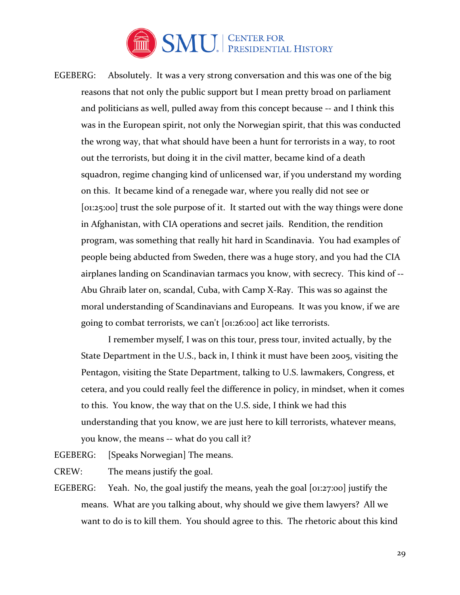

EGEBERG: Absolutely. It was a very strong conversation and this was one of the big reasons that not only the public support but I mean pretty broad on parliament and politicians as well, pulled away from this concept because -- and I think this was in the European spirit, not only the Norwegian spirit, that this was conducted the wrong way, that what should have been a hunt for terrorists in a way, to root out the terrorists, but doing it in the civil matter, became kind of a death squadron, regime changing kind of unlicensed war, if you understand my wording on this. It became kind of a renegade war, where you really did not see or [01:25:00] trust the sole purpose of it. It started out with the way things were done in Afghanistan, with CIA operations and secret jails. Rendition, the rendition program, was something that really hit hard in Scandinavia. You had examples of people being abducted from Sweden, there was a huge story, and you had the CIA airplanes landing on Scandinavian tarmacs you know, with secrecy. This kind of -- Abu Ghraib later on, scandal, Cuba, with Camp X-Ray. This was so against the moral understanding of Scandinavians and Europeans. It was you know, if we are going to combat terrorists, we can't [01:26:00] act like terrorists.

 I remember myself, I was on this tour, press tour, invited actually, by the State Department in the U.S., back in, I think it must have been 2005, visiting the Pentagon, visiting the State Department, talking to U.S. lawmakers, Congress, et cetera, and you could really feel the difference in policy, in mindset, when it comes to this. You know, the way that on the U.S. side, I think we had this understanding that you know, we are just here to kill terrorists, whatever means, you know, the means -- what do you call it?

EGEBERG: [Speaks Norwegian] The means.

CREW: The means justify the goal.

EGEBERG: Yeah. No, the goal justify the means, yeah the goal [01:27:00] justify the means. What are you talking about, why should we give them lawyers? All we want to do is to kill them. You should agree to this. The rhetoric about this kind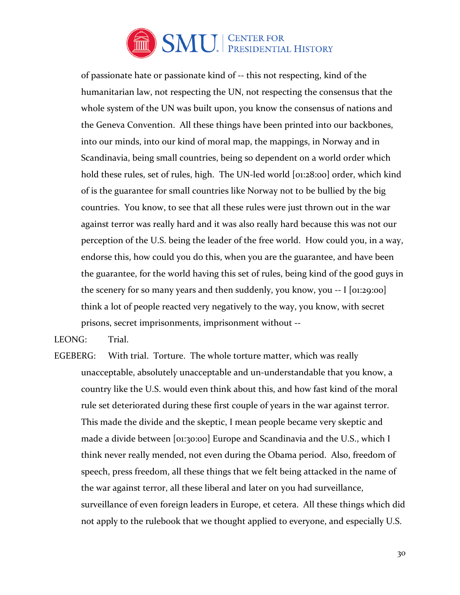

of passionate hate or passionate kind of -- this not respecting, kind of the humanitarian law, not respecting the UN, not respecting the consensus that the whole system of the UN was built upon, you know the consensus of nations and the Geneva Convention. All these things have been printed into our backbones, into our minds, into our kind of moral map, the mappings, in Norway and in Scandinavia, being small countries, being so dependent on a world order which hold these rules, set of rules, high. The UN-led world [01:28:00] order, which kind of is the guarantee for small countries like Norway not to be bullied by the big countries. You know, to see that all these rules were just thrown out in the war against terror was really hard and it was also really hard because this was not our perception of the U.S. being the leader of the free world. How could you, in a way, endorse this, how could you do this, when you are the guarantee, and have been the guarantee, for the world having this set of rules, being kind of the good guys in the scenery for so many years and then suddenly, you know, you -- I [01:29:00] think a lot of people reacted very negatively to the way, you know, with secret prisons, secret imprisonments, imprisonment without --

LEONG: Trial.

EGEBERG: With trial. Torture. The whole torture matter, which was really unacceptable, absolutely unacceptable and un-understandable that you know, a country like the U.S. would even think about this, and how fast kind of the moral rule set deteriorated during these first couple of years in the war against terror. This made the divide and the skeptic, I mean people became very skeptic and made a divide between [01:30:00] Europe and Scandinavia and the U.S., which I think never really mended, not even during the Obama period. Also, freedom of speech, press freedom, all these things that we felt being attacked in the name of the war against terror, all these liberal and later on you had surveillance, surveillance of even foreign leaders in Europe, et cetera. All these things which did not apply to the rulebook that we thought applied to everyone, and especially U.S.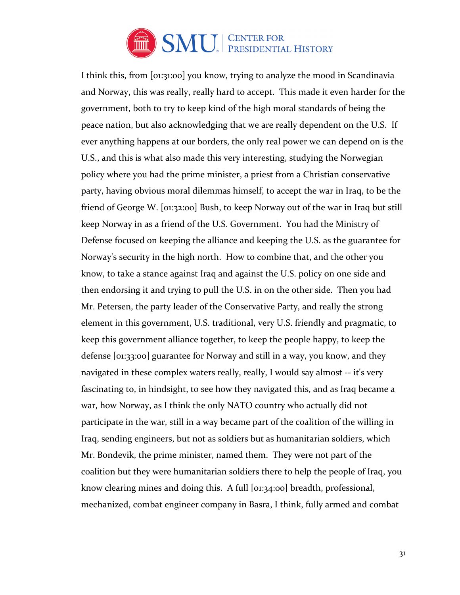

I think this, from [01:31:00] you know, trying to analyze the mood in Scandinavia and Norway, this was really, really hard to accept. This made it even harder for the government, both to try to keep kind of the high moral standards of being the peace nation, but also acknowledging that we are really dependent on the U.S. If ever anything happens at our borders, the only real power we can depend on is the U.S., and this is what also made this very interesting, studying the Norwegian policy where you had the prime minister, a priest from a Christian conservative party, having obvious moral dilemmas himself, to accept the war in Iraq, to be the friend of George W. [01:32:00] Bush, to keep Norway out of the war in Iraq but still keep Norway in as a friend of the U.S. Government. You had the Ministry of Defense focused on keeping the alliance and keeping the U.S. as the guarantee for Norway's security in the high north. How to combine that, and the other you know, to take a stance against Iraq and against the U.S. policy on one side and then endorsing it and trying to pull the U.S. in on the other side. Then you had Mr. Petersen, the party leader of the Conservative Party, and really the strong element in this government, U.S. traditional, very U.S. friendly and pragmatic, to keep this government alliance together, to keep the people happy, to keep the defense [01:33:00] guarantee for Norway and still in a way, you know, and they navigated in these complex waters really, really, I would say almost -- it's very fascinating to, in hindsight, to see how they navigated this, and as Iraq became a war, how Norway, as I think the only NATO country who actually did not participate in the war, still in a way became part of the coalition of the willing in Iraq, sending engineers, but not as soldiers but as humanitarian soldiers, which Mr. Bondevik, the prime minister, named them. They were not part of the coalition but they were humanitarian soldiers there to help the people of Iraq, you know clearing mines and doing this. A full [01:34:00] breadth, professional, mechanized, combat engineer company in Basra, I think, fully armed and combat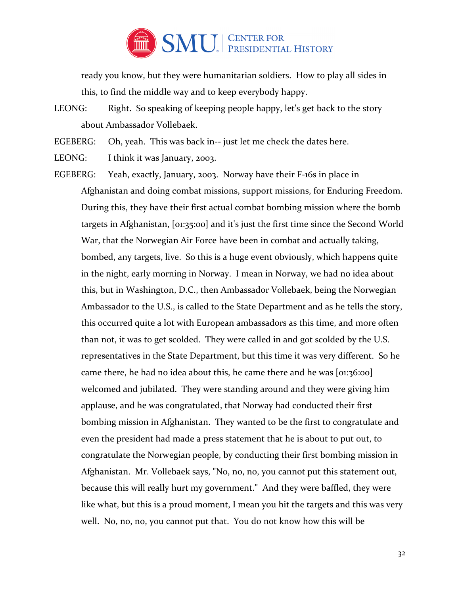

ready you know, but they were humanitarian soldiers. How to play all sides in this, to find the middle way and to keep everybody happy.

LEONG: Right. So speaking of keeping people happy, let's get back to the story about Ambassador Vollebaek.

EGEBERG: Oh, yeah. This was back in-- just let me check the dates here.

LEONG: I think it was January, 2003.

EGEBERG: Yeah, exactly, January, 2003. Norway have their F-16s in place in Afghanistan and doing combat missions, support missions, for Enduring Freedom. During this, they have their first actual combat bombing mission where the bomb targets in Afghanistan, [01:35:00] and it's just the first time since the Second World War, that the Norwegian Air Force have been in combat and actually taking, bombed, any targets, live. So this is a huge event obviously, which happens quite in the night, early morning in Norway. I mean in Norway, we had no idea about this, but in Washington, D.C., then Ambassador Vollebaek, being the Norwegian Ambassador to the U.S., is called to the State Department and as he tells the story, this occurred quite a lot with European ambassadors as this time, and more often than not, it was to get scolded. They were called in and got scolded by the U.S. representatives in the State Department, but this time it was very different. So he came there, he had no idea about this, he came there and he was [01:36:00] welcomed and jubilated. They were standing around and they were giving him applause, and he was congratulated, that Norway had conducted their first bombing mission in Afghanistan. They wanted to be the first to congratulate and even the president had made a press statement that he is about to put out, to congratulate the Norwegian people, by conducting their first bombing mission in Afghanistan. Mr. Vollebaek says, "No, no, no, you cannot put this statement out, because this will really hurt my government." And they were baffled, they were like what, but this is a proud moment, I mean you hit the targets and this was very well. No, no, no, you cannot put that. You do not know how this will be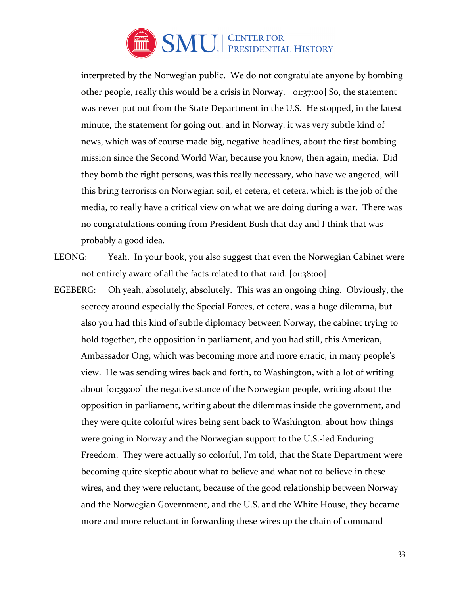

interpreted by the Norwegian public. We do not congratulate anyone by bombing other people, really this would be a crisis in Norway. [01:37:00] So, the statement was never put out from the State Department in the U.S. He stopped, in the latest minute, the statement for going out, and in Norway, it was very subtle kind of news, which was of course made big, negative headlines, about the first bombing mission since the Second World War, because you know, then again, media. Did they bomb the right persons, was this really necessary, who have we angered, will this bring terrorists on Norwegian soil, et cetera, et cetera, which is the job of the media, to really have a critical view on what we are doing during a war. There was no congratulations coming from President Bush that day and I think that was probably a good idea.

LEONG: Yeah. In your book, you also suggest that even the Norwegian Cabinet were not entirely aware of all the facts related to that raid. [01:38:00]

EGEBERG: Oh yeah, absolutely, absolutely. This was an ongoing thing. Obviously, the secrecy around especially the Special Forces, et cetera, was a huge dilemma, but also you had this kind of subtle diplomacy between Norway, the cabinet trying to hold together, the opposition in parliament, and you had still, this American, Ambassador Ong, which was becoming more and more erratic, in many people's view. He was sending wires back and forth, to Washington, with a lot of writing about [01:39:00] the negative stance of the Norwegian people, writing about the opposition in parliament, writing about the dilemmas inside the government, and they were quite colorful wires being sent back to Washington, about how things were going in Norway and the Norwegian support to the U.S.-led Enduring Freedom. They were actually so colorful, I'm told, that the State Department were becoming quite skeptic about what to believe and what not to believe in these wires, and they were reluctant, because of the good relationship between Norway and the Norwegian Government, and the U.S. and the White House, they became more and more reluctant in forwarding these wires up the chain of command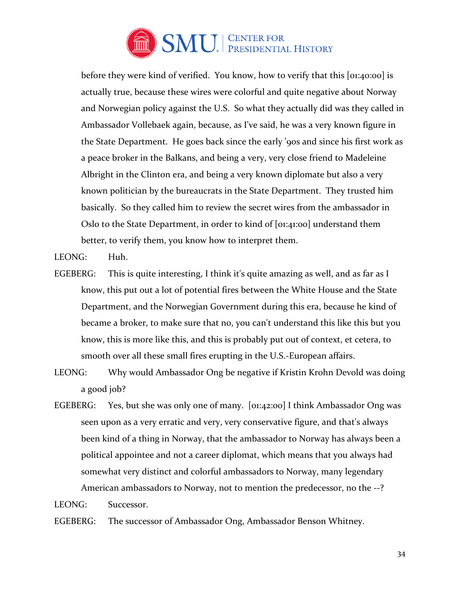

before they were kind of verified. You know, how to verify that this [01:40:00] is actually true, because these wires were colorful and quite negative about Norway and Norwegian policy against the U.S. So what they actually did was they called in Ambassador Vollebaek again, because, as I've said, he was a very known figure in the State Department. He goes back since the early '90s and since his first work as a peace broker in the Balkans, and being a very, very close friend to Madeleine Albright in the Clinton era, and being a very known diplomate but also a very known politician by the bureaucrats in the State Department. They trusted him basically. So they called him to review the secret wires from the ambassador in Oslo to the State Department, in order to kind of [01:41:00] understand them better, to verify them, you know how to interpret them.

LEONG: Huh.

- EGEBERG: This is quite interesting, I think it's quite amazing as well, and as far as I know, this put out a lot of potential fires between the White House and the State Department, and the Norwegian Government during this era, because he kind of became a broker, to make sure that no, you can't understand this like this but you know, this is more like this, and this is probably put out of context, et cetera, to smooth over all these small fires erupting in the U.S.-European affairs.
- LEONG: Why would Ambassador Ong be negative if Kristin Krohn Devold was doing a good job?
- EGEBERG: Yes, but she was only one of many. [01:42:00] I think Ambassador Ong was seen upon as a very erratic and very, very conservative figure, and that's always been kind of a thing in Norway, that the ambassador to Norway has always been a political appointee and not a career diplomat, which means that you always had somewhat very distinct and colorful ambassadors to Norway, many legendary American ambassadors to Norway, not to mention the predecessor, no the --?

LEONG: Successor.

EGEBERG: The successor of Ambassador Ong, Ambassador Benson Whitney.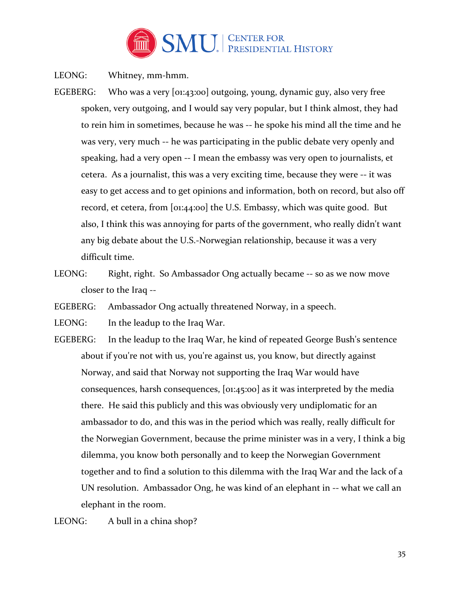

LEONG: Whitney, mm-hmm.

- EGEBERG: Who was a very [01:43:00] outgoing, young, dynamic guy, also very free spoken, very outgoing, and I would say very popular, but I think almost, they had to rein him in sometimes, because he was -- he spoke his mind all the time and he was very, very much -- he was participating in the public debate very openly and speaking, had a very open -- I mean the embassy was very open to journalists, et cetera. As a journalist, this was a very exciting time, because they were -- it was easy to get access and to get opinions and information, both on record, but also off record, et cetera, from [01:44:00] the U.S. Embassy, which was quite good. But also, I think this was annoying for parts of the government, who really didn't want any big debate about the U.S.-Norwegian relationship, because it was a very difficult time.
- LEONG: Right, right. So Ambassador Ong actually became -- so as we now move closer to the Iraq --

EGEBERG: Ambassador Ong actually threatened Norway, in a speech.

LEONG: In the leadup to the Iraq War.

EGEBERG: In the leadup to the Iraq War, he kind of repeated George Bush's sentence about if you're not with us, you're against us, you know, but directly against Norway, and said that Norway not supporting the Iraq War would have consequences, harsh consequences, [01:45:00] as it was interpreted by the media there. He said this publicly and this was obviously very undiplomatic for an ambassador to do, and this was in the period which was really, really difficult for the Norwegian Government, because the prime minister was in a very, I think a big dilemma, you know both personally and to keep the Norwegian Government together and to find a solution to this dilemma with the Iraq War and the lack of a UN resolution. Ambassador Ong, he was kind of an elephant in -- what we call an elephant in the room.

LEONG: A bull in a china shop?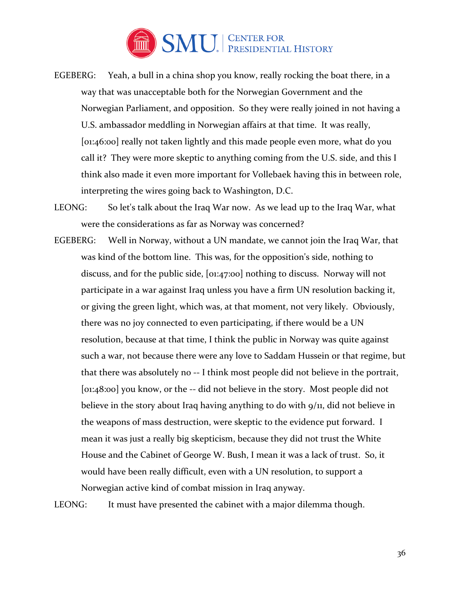

- EGEBERG: Yeah, a bull in a china shop you know, really rocking the boat there, in a way that was unacceptable both for the Norwegian Government and the Norwegian Parliament, and opposition. So they were really joined in not having a U.S. ambassador meddling in Norwegian affairs at that time. It was really, [01:46:00] really not taken lightly and this made people even more, what do you call it? They were more skeptic to anything coming from the U.S. side, and this I think also made it even more important for Vollebaek having this in between role, interpreting the wires going back to Washington, D.C.
- LEONG: So let's talk about the Iraq War now. As we lead up to the Iraq War, what were the considerations as far as Norway was concerned?
- EGEBERG: Well in Norway, without a UN mandate, we cannot join the Iraq War, that was kind of the bottom line. This was, for the opposition's side, nothing to discuss, and for the public side, [01:47:00] nothing to discuss. Norway will not participate in a war against Iraq unless you have a firm UN resolution backing it, or giving the green light, which was, at that moment, not very likely. Obviously, there was no joy connected to even participating, if there would be a UN resolution, because at that time, I think the public in Norway was quite against such a war, not because there were any love to Saddam Hussein or that regime, but that there was absolutely no -- I think most people did not believe in the portrait, [01:48:00] you know, or the -- did not believe in the story. Most people did not believe in the story about Iraq having anything to do with 9/11, did not believe in the weapons of mass destruction, were skeptic to the evidence put forward. I mean it was just a really big skepticism, because they did not trust the White House and the Cabinet of George W. Bush, I mean it was a lack of trust. So, it would have been really difficult, even with a UN resolution, to support a Norwegian active kind of combat mission in Iraq anyway.

LEONG: It must have presented the cabinet with a major dilemma though.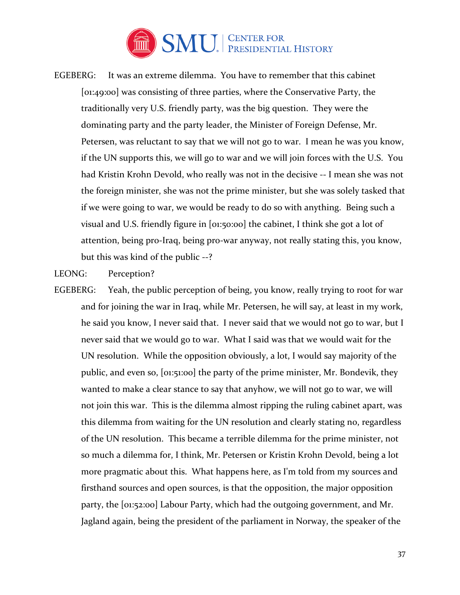

EGEBERG: It was an extreme dilemma. You have to remember that this cabinet [01:49:00] was consisting of three parties, where the Conservative Party, the traditionally very U.S. friendly party, was the big question. They were the dominating party and the party leader, the Minister of Foreign Defense, Mr. Petersen, was reluctant to say that we will not go to war. I mean he was you know, if the UN supports this, we will go to war and we will join forces with the U.S. You had Kristin Krohn Devold, who really was not in the decisive -- I mean she was not the foreign minister, she was not the prime minister, but she was solely tasked that if we were going to war, we would be ready to do so with anything. Being such a visual and U.S. friendly figure in [01:50:00] the cabinet, I think she got a lot of attention, being pro-Iraq, being pro-war anyway, not really stating this, you know, but this was kind of the public --?

LEONG: Perception?

EGEBERG: Yeah, the public perception of being, you know, really trying to root for war and for joining the war in Iraq, while Mr. Petersen, he will say, at least in my work, he said you know, I never said that. I never said that we would not go to war, but I never said that we would go to war. What I said was that we would wait for the UN resolution. While the opposition obviously, a lot, I would say majority of the public, and even so, [01:51:00] the party of the prime minister, Mr. Bondevik, they wanted to make a clear stance to say that anyhow, we will not go to war, we will not join this war. This is the dilemma almost ripping the ruling cabinet apart, was this dilemma from waiting for the UN resolution and clearly stating no, regardless of the UN resolution. This became a terrible dilemma for the prime minister, not so much a dilemma for, I think, Mr. Petersen or Kristin Krohn Devold, being a lot more pragmatic about this. What happens here, as I'm told from my sources and firsthand sources and open sources, is that the opposition, the major opposition party, the [01:52:00] Labour Party, which had the outgoing government, and Mr. Jagland again, being the president of the parliament in Norway, the speaker of the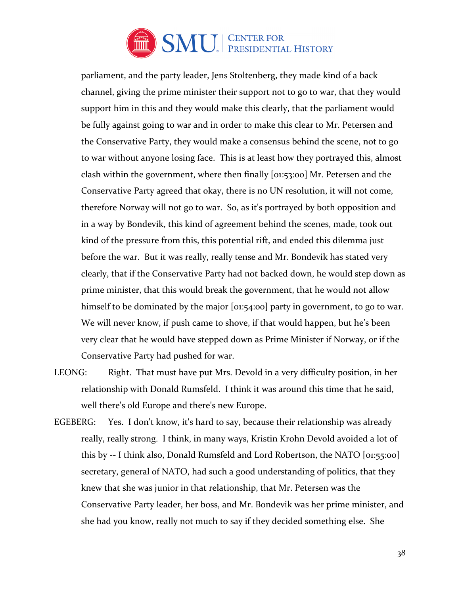

parliament, and the party leader, Jens Stoltenberg, they made kind of a back channel, giving the prime minister their support not to go to war, that they would support him in this and they would make this clearly, that the parliament would be fully against going to war and in order to make this clear to Mr. Petersen and the Conservative Party, they would make a consensus behind the scene, not to go to war without anyone losing face. This is at least how they portrayed this, almost clash within the government, where then finally [01:53:00] Mr. Petersen and the Conservative Party agreed that okay, there is no UN resolution, it will not come, therefore Norway will not go to war. So, as it's portrayed by both opposition and in a way by Bondevik, this kind of agreement behind the scenes, made, took out kind of the pressure from this, this potential rift, and ended this dilemma just before the war. But it was really, really tense and Mr. Bondevik has stated very clearly, that if the Conservative Party had not backed down, he would step down as prime minister, that this would break the government, that he would not allow himself to be dominated by the major [01:54:00] party in government, to go to war. We will never know, if push came to shove, if that would happen, but he's been very clear that he would have stepped down as Prime Minister if Norway, or if the Conservative Party had pushed for war.

- LEONG: Right. That must have put Mrs. Devold in a very difficulty position, in her relationship with Donald Rumsfeld. I think it was around this time that he said, well there's old Europe and there's new Europe.
- EGEBERG: Yes. I don't know, it's hard to say, because their relationship was already really, really strong. I think, in many ways, Kristin Krohn Devold avoided a lot of this by -- I think also, Donald Rumsfeld and Lord Robertson, the NATO [01:55:00] secretary, general of NATO, had such a good understanding of politics, that they knew that she was junior in that relationship, that Mr. Petersen was the Conservative Party leader, her boss, and Mr. Bondevik was her prime minister, and she had you know, really not much to say if they decided something else. She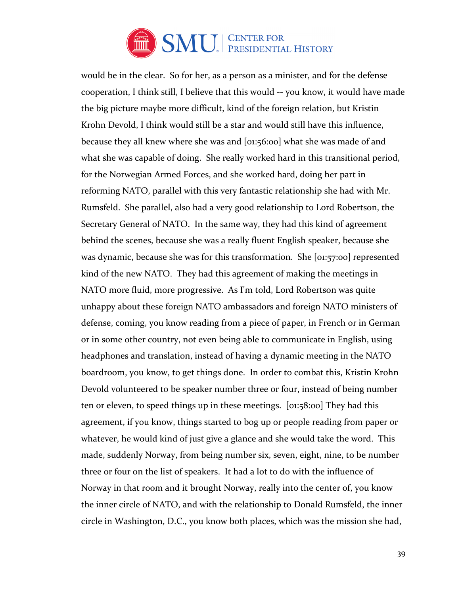

would be in the clear. So for her, as a person as a minister, and for the defense cooperation, I think still, I believe that this would -- you know, it would have made the big picture maybe more difficult, kind of the foreign relation, but Kristin Krohn Devold, I think would still be a star and would still have this influence, because they all knew where she was and [01:56:00] what she was made of and what she was capable of doing. She really worked hard in this transitional period, for the Norwegian Armed Forces, and she worked hard, doing her part in reforming NATO, parallel with this very fantastic relationship she had with Mr. Rumsfeld. She parallel, also had a very good relationship to Lord Robertson, the Secretary General of NATO. In the same way, they had this kind of agreement behind the scenes, because she was a really fluent English speaker, because she was dynamic, because she was for this transformation. She [01:57:00] represented kind of the new NATO. They had this agreement of making the meetings in NATO more fluid, more progressive. As I'm told, Lord Robertson was quite unhappy about these foreign NATO ambassadors and foreign NATO ministers of defense, coming, you know reading from a piece of paper, in French or in German or in some other country, not even being able to communicate in English, using headphones and translation, instead of having a dynamic meeting in the NATO boardroom, you know, to get things done. In order to combat this, Kristin Krohn Devold volunteered to be speaker number three or four, instead of being number ten or eleven, to speed things up in these meetings. [01:58:00] They had this agreement, if you know, things started to bog up or people reading from paper or whatever, he would kind of just give a glance and she would take the word. This made, suddenly Norway, from being number six, seven, eight, nine, to be number three or four on the list of speakers. It had a lot to do with the influence of Norway in that room and it brought Norway, really into the center of, you know the inner circle of NATO, and with the relationship to Donald Rumsfeld, the inner circle in Washington, D.C., you know both places, which was the mission she had,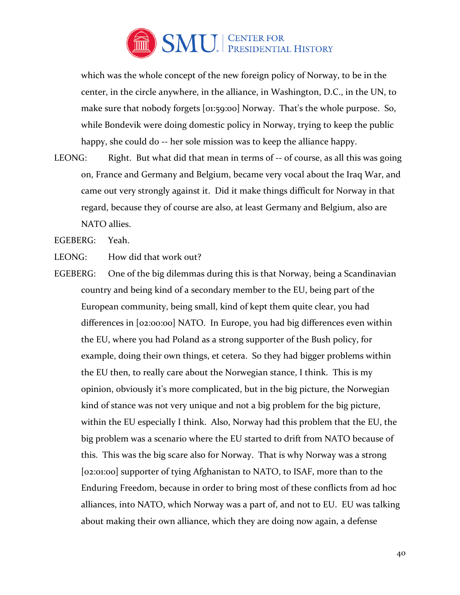

which was the whole concept of the new foreign policy of Norway, to be in the center, in the circle anywhere, in the alliance, in Washington, D.C., in the UN, to make sure that nobody forgets [01:59:00] Norway. That's the whole purpose. So, while Bondevik were doing domestic policy in Norway, trying to keep the public happy, she could do -- her sole mission was to keep the alliance happy.

LEONG: Right. But what did that mean in terms of -- of course, as all this was going on, France and Germany and Belgium, became very vocal about the Iraq War, and came out very strongly against it. Did it make things difficult for Norway in that regard, because they of course are also, at least Germany and Belgium, also are NATO allies.

EGEBERG: Yeah.

LEONG: How did that work out?

EGEBERG: One of the big dilemmas during this is that Norway, being a Scandinavian country and being kind of a secondary member to the EU, being part of the European community, being small, kind of kept them quite clear, you had differences in [02:00:00] NATO. In Europe, you had big differences even within the EU, where you had Poland as a strong supporter of the Bush policy, for example, doing their own things, et cetera. So they had bigger problems within the EU then, to really care about the Norwegian stance, I think. This is my opinion, obviously it's more complicated, but in the big picture, the Norwegian kind of stance was not very unique and not a big problem for the big picture, within the EU especially I think. Also, Norway had this problem that the EU, the big problem was a scenario where the EU started to drift from NATO because of this. This was the big scare also for Norway. That is why Norway was a strong [02:01:00] supporter of tying Afghanistan to NATO, to ISAF, more than to the Enduring Freedom, because in order to bring most of these conflicts from ad hoc alliances, into NATO, which Norway was a part of, and not to EU. EU was talking about making their own alliance, which they are doing now again, a defense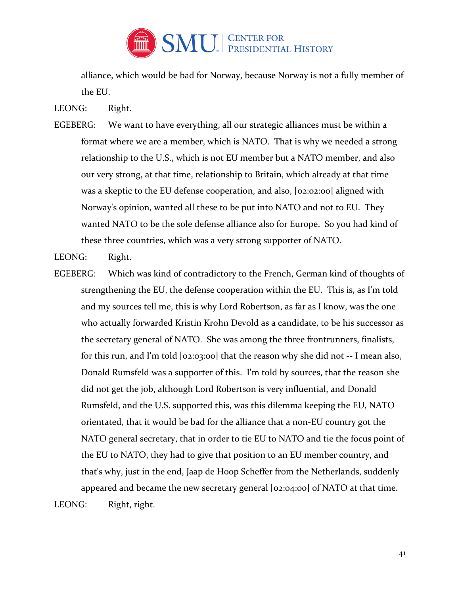

alliance, which would be bad for Norway, because Norway is not a fully member of the EU.

LEONG: Right.

EGEBERG: We want to have everything, all our strategic alliances must be within a format where we are a member, which is NATO. That is why we needed a strong relationship to the U.S., which is not EU member but a NATO member, and also our very strong, at that time, relationship to Britain, which already at that time was a skeptic to the EU defense cooperation, and also, [02:02:00] aligned with Norway's opinion, wanted all these to be put into NATO and not to EU. They wanted NATO to be the sole defense alliance also for Europe. So you had kind of these three countries, which was a very strong supporter of NATO.

LEONG: Right.

EGEBERG: Which was kind of contradictory to the French, German kind of thoughts of strengthening the EU, the defense cooperation within the EU. This is, as I'm told and my sources tell me, this is why Lord Robertson, as far as I know, was the one who actually forwarded Kristin Krohn Devold as a candidate, to be his successor as the secretary general of NATO. She was among the three frontrunners, finalists, for this run, and I'm told [02:03:00] that the reason why she did not -- I mean also, Donald Rumsfeld was a supporter of this. I'm told by sources, that the reason she did not get the job, although Lord Robertson is very influential, and Donald Rumsfeld, and the U.S. supported this, was this dilemma keeping the EU, NATO orientated, that it would be bad for the alliance that a non-EU country got the NATO general secretary, that in order to tie EU to NATO and tie the focus point of the EU to NATO, they had to give that position to an EU member country, and that's why, just in the end, Jaap de Hoop Scheffer from the Netherlands, suddenly appeared and became the new secretary general [02:04:00] of NATO at that time. LEONG: Right, right.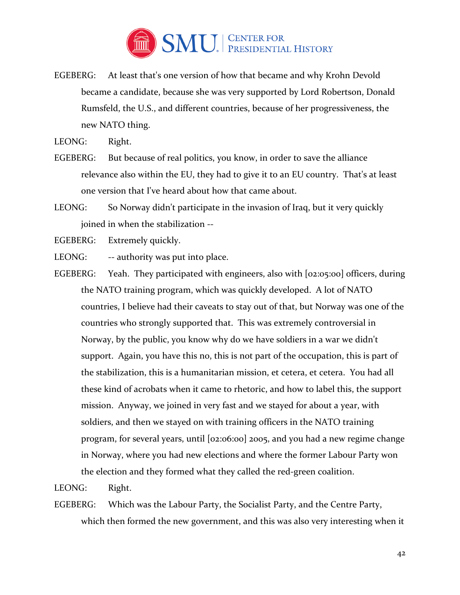

EGEBERG: At least that's one version of how that became and why Krohn Devold became a candidate, because she was very supported by Lord Robertson, Donald Rumsfeld, the U.S., and different countries, because of her progressiveness, the new NATO thing.

LEONG: Right.

- EGEBERG: But because of real politics, you know, in order to save the alliance relevance also within the EU, they had to give it to an EU country. That's at least one version that I've heard about how that came about.
- LEONG: So Norway didn't participate in the invasion of Iraq, but it very quickly joined in when the stabilization --

EGEBERG: Extremely quickly.

LEONG: -- authority was put into place.

EGEBERG: Yeah. They participated with engineers, also with [02:05:00] officers, during the NATO training program, which was quickly developed. A lot of NATO countries, I believe had their caveats to stay out of that, but Norway was one of the countries who strongly supported that. This was extremely controversial in Norway, by the public, you know why do we have soldiers in a war we didn't support. Again, you have this no, this is not part of the occupation, this is part of the stabilization, this is a humanitarian mission, et cetera, et cetera. You had all these kind of acrobats when it came to rhetoric, and how to label this, the support mission. Anyway, we joined in very fast and we stayed for about a year, with soldiers, and then we stayed on with training officers in the NATO training program, for several years, until [02:06:00] 2005, and you had a new regime change in Norway, where you had new elections and where the former Labour Party won the election and they formed what they called the red-green coalition.

LEONG: Right.

EGEBERG: Which was the Labour Party, the Socialist Party, and the Centre Party, which then formed the new government, and this was also very interesting when it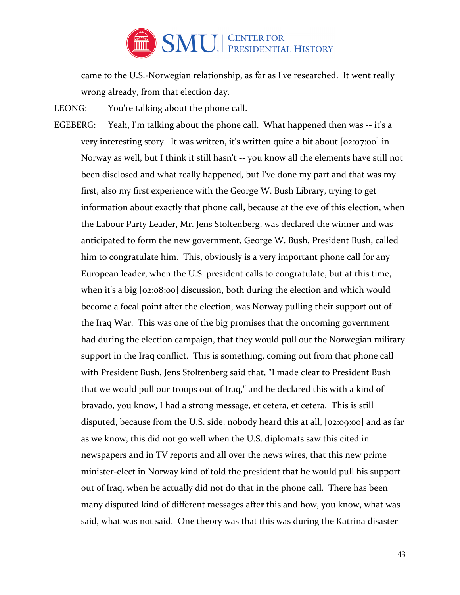

came to the U.S.-Norwegian relationship, as far as I've researched. It went really wrong already, from that election day.

LEONG: You're talking about the phone call.

EGEBERG: Yeah, I'm talking about the phone call. What happened then was -- it's a very interesting story. It was written, it's written quite a bit about [02:07:00] in Norway as well, but I think it still hasn't -- you know all the elements have still not been disclosed and what really happened, but I've done my part and that was my first, also my first experience with the George W. Bush Library, trying to get information about exactly that phone call, because at the eve of this election, when the Labour Party Leader, Mr. Jens Stoltenberg, was declared the winner and was anticipated to form the new government, George W. Bush, President Bush, called him to congratulate him. This, obviously is a very important phone call for any European leader, when the U.S. president calls to congratulate, but at this time, when it's a big [02:08:00] discussion, both during the election and which would become a focal point after the election, was Norway pulling their support out of the Iraq War. This was one of the big promises that the oncoming government had during the election campaign, that they would pull out the Norwegian military support in the Iraq conflict. This is something, coming out from that phone call with President Bush, Jens Stoltenberg said that, "I made clear to President Bush that we would pull our troops out of Iraq," and he declared this with a kind of bravado, you know, I had a strong message, et cetera, et cetera. This is still disputed, because from the U.S. side, nobody heard this at all, [02:09:00] and as far as we know, this did not go well when the U.S. diplomats saw this cited in newspapers and in TV reports and all over the news wires, that this new prime minister-elect in Norway kind of told the president that he would pull his support out of Iraq, when he actually did not do that in the phone call. There has been many disputed kind of different messages after this and how, you know, what was said, what was not said. One theory was that this was during the Katrina disaster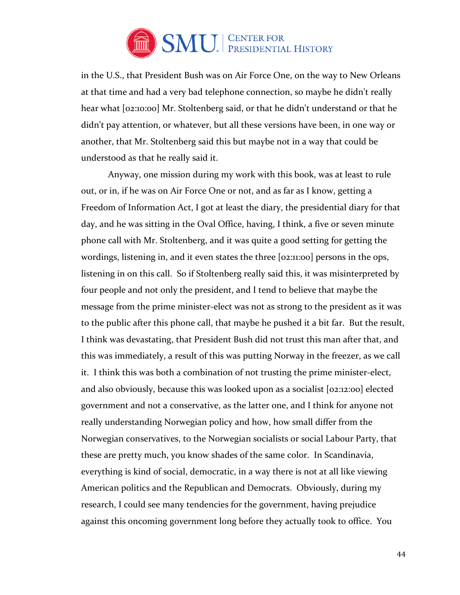

in the U.S., that President Bush was on Air Force One, on the way to New Orleans at that time and had a very bad telephone connection, so maybe he didn't really hear what [02:10:00] Mr. Stoltenberg said, or that he didn't understand or that he didn't pay attention, or whatever, but all these versions have been, in one way or another, that Mr. Stoltenberg said this but maybe not in a way that could be understood as that he really said it.

 Anyway, one mission during my work with this book, was at least to rule out, or in, if he was on Air Force One or not, and as far as I know, getting a Freedom of Information Act, I got at least the diary, the presidential diary for that day, and he was sitting in the Oval Office, having, I think, a five or seven minute phone call with Mr. Stoltenberg, and it was quite a good setting for getting the wordings, listening in, and it even states the three [02:11:00] persons in the ops, listening in on this call. So if Stoltenberg really said this, it was misinterpreted by four people and not only the president, and I tend to believe that maybe the message from the prime minister-elect was not as strong to the president as it was to the public after this phone call, that maybe he pushed it a bit far. But the result, I think was devastating, that President Bush did not trust this man after that, and this was immediately, a result of this was putting Norway in the freezer, as we call it. I think this was both a combination of not trusting the prime minister-elect, and also obviously, because this was looked upon as a socialist [02:12:00] elected government and not a conservative, as the latter one, and I think for anyone not really understanding Norwegian policy and how, how small differ from the Norwegian conservatives, to the Norwegian socialists or social Labour Party, that these are pretty much, you know shades of the same color. In Scandinavia, everything is kind of social, democratic, in a way there is not at all like viewing American politics and the Republican and Democrats. Obviously, during my research, I could see many tendencies for the government, having prejudice against this oncoming government long before they actually took to office. You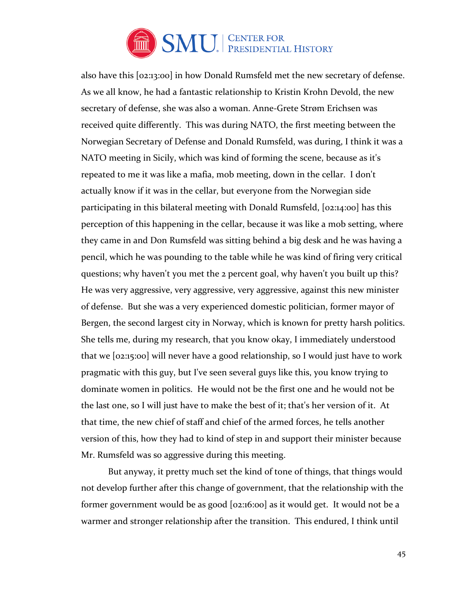

also have this [02:13:00] in how Donald Rumsfeld met the new secretary of defense. As we all know, he had a fantastic relationship to Kristin Krohn Devold, the new secretary of defense, she was also a woman. Anne-Grete Strøm Erichsen was received quite differently. This was during NATO, the first meeting between the Norwegian Secretary of Defense and Donald Rumsfeld, was during, I think it was a NATO meeting in Sicily, which was kind of forming the scene, because as it's repeated to me it was like a mafia, mob meeting, down in the cellar. I don't actually know if it was in the cellar, but everyone from the Norwegian side participating in this bilateral meeting with Donald Rumsfeld, [02:14:00] has this perception of this happening in the cellar, because it was like a mob setting, where they came in and Don Rumsfeld was sitting behind a big desk and he was having a pencil, which he was pounding to the table while he was kind of firing very critical questions; why haven't you met the 2 percent goal, why haven't you built up this? He was very aggressive, very aggressive, very aggressive, against this new minister of defense. But she was a very experienced domestic politician, former mayor of Bergen, the second largest city in Norway, which is known for pretty harsh politics. She tells me, during my research, that you know okay, I immediately understood that we [02:15:00] will never have a good relationship, so I would just have to work pragmatic with this guy, but I've seen several guys like this, you know trying to dominate women in politics. He would not be the first one and he would not be the last one, so I will just have to make the best of it; that's her version of it. At that time, the new chief of staff and chief of the armed forces, he tells another version of this, how they had to kind of step in and support their minister because Mr. Rumsfeld was so aggressive during this meeting.

But anyway, it pretty much set the kind of tone of things, that things would not develop further after this change of government, that the relationship with the former government would be as good [02:16:00] as it would get. It would not be a warmer and stronger relationship after the transition. This endured, I think until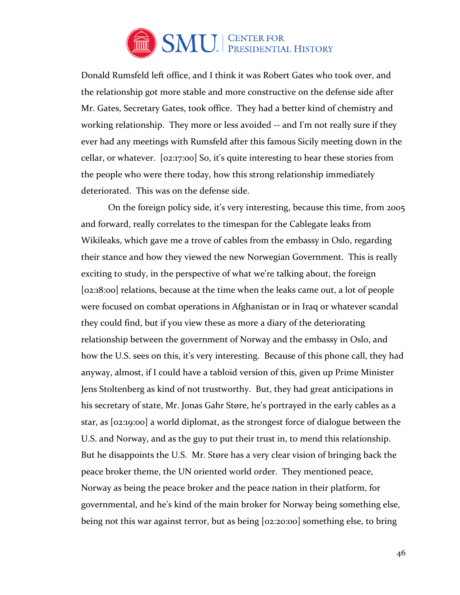

Donald Rumsfeld left office, and I think it was Robert Gates who took over, and the relationship got more stable and more constructive on the defense side after Mr. Gates, Secretary Gates, took office. They had a better kind of chemistry and working relationship. They more or less avoided -- and I'm not really sure if they ever had any meetings with Rumsfeld after this famous Sicily meeting down in the cellar, or whatever. [02:17:00] So, it's quite interesting to hear these stories from the people who were there today, how this strong relationship immediately deteriorated. This was on the defense side.

On the foreign policy side, it's very interesting, because this time, from 2005 and forward, really correlates to the timespan for the Cablegate leaks from Wikileaks, which gave me a trove of cables from the embassy in Oslo, regarding their stance and how they viewed the new Norwegian Government. This is really exciting to study, in the perspective of what we're talking about, the foreign [02:18:00] relations, because at the time when the leaks came out, a lot of people were focused on combat operations in Afghanistan or in Iraq or whatever scandal they could find, but if you view these as more a diary of the deteriorating relationship between the government of Norway and the embassy in Oslo, and how the U.S. sees on this, it's very interesting. Because of this phone call, they had anyway, almost, if I could have a tabloid version of this, given up Prime Minister Jens Stoltenberg as kind of not trustworthy. But, they had great anticipations in his secretary of state, Mr. Jonas Gahr Støre, he's portrayed in the early cables as a star, as [02:19:00] a world diplomat, as the strongest force of dialogue between the U.S. and Norway, and as the guy to put their trust in, to mend this relationship. But he disappoints the U.S. Mr. Støre has a very clear vision of bringing back the peace broker theme, the UN oriented world order. They mentioned peace, Norway as being the peace broker and the peace nation in their platform, for governmental, and he's kind of the main broker for Norway being something else, being not this war against terror, but as being [02:20:00] something else, to bring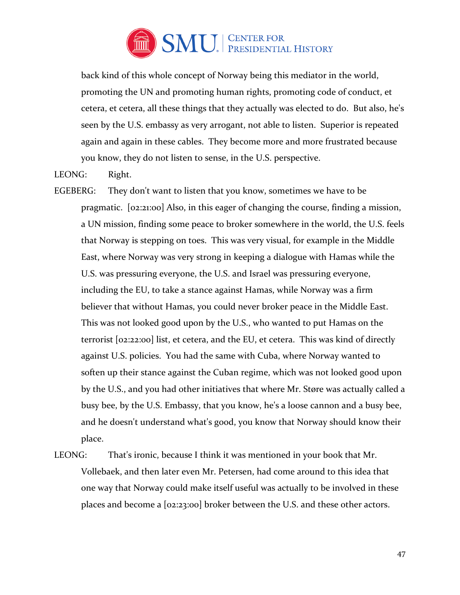

back kind of this whole concept of Norway being this mediator in the world, promoting the UN and promoting human rights, promoting code of conduct, et cetera, et cetera, all these things that they actually was elected to do. But also, he's seen by the U.S. embassy as very arrogant, not able to listen. Superior is repeated again and again in these cables. They become more and more frustrated because you know, they do not listen to sense, in the U.S. perspective.

LEONG: Right.

- EGEBERG: They don't want to listen that you know, sometimes we have to be pragmatic. [02:21:00] Also, in this eager of changing the course, finding a mission, a UN mission, finding some peace to broker somewhere in the world, the U.S. feels that Norway is stepping on toes. This was very visual, for example in the Middle East, where Norway was very strong in keeping a dialogue with Hamas while the U.S. was pressuring everyone, the U.S. and Israel was pressuring everyone, including the EU, to take a stance against Hamas, while Norway was a firm believer that without Hamas, you could never broker peace in the Middle East. This was not looked good upon by the U.S., who wanted to put Hamas on the terrorist [02:22:00] list, et cetera, and the EU, et cetera. This was kind of directly against U.S. policies. You had the same with Cuba, where Norway wanted to soften up their stance against the Cuban regime, which was not looked good upon by the U.S., and you had other initiatives that where Mr. Støre was actually called a busy bee, by the U.S. Embassy, that you know, he's a loose cannon and a busy bee, and he doesn't understand what's good, you know that Norway should know their place.
- LEONG: That's ironic, because I think it was mentioned in your book that Mr. Vollebaek, and then later even Mr. Petersen, had come around to this idea that one way that Norway could make itself useful was actually to be involved in these places and become a [02:23:00] broker between the U.S. and these other actors.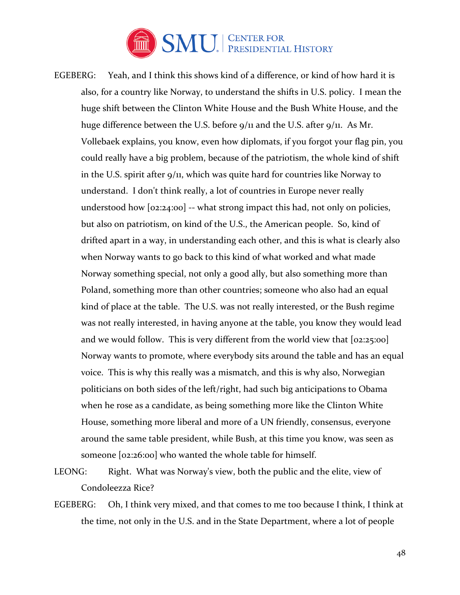

- EGEBERG: Yeah, and I think this shows kind of a difference, or kind of how hard it is also, for a country like Norway, to understand the shifts in U.S. policy. I mean the huge shift between the Clinton White House and the Bush White House, and the huge difference between the U.S. before 9/11 and the U.S. after 9/11. As Mr. Vollebaek explains, you know, even how diplomats, if you forgot your flag pin, you could really have a big problem, because of the patriotism, the whole kind of shift in the U.S. spirit after 9/11, which was quite hard for countries like Norway to understand. I don't think really, a lot of countries in Europe never really understood how [02:24:00] -- what strong impact this had, not only on policies, but also on patriotism, on kind of the U.S., the American people. So, kind of drifted apart in a way, in understanding each other, and this is what is clearly also when Norway wants to go back to this kind of what worked and what made Norway something special, not only a good ally, but also something more than Poland, something more than other countries; someone who also had an equal kind of place at the table. The U.S. was not really interested, or the Bush regime was not really interested, in having anyone at the table, you know they would lead and we would follow. This is very different from the world view that [02:25:00] Norway wants to promote, where everybody sits around the table and has an equal voice. This is why this really was a mismatch, and this is why also, Norwegian politicians on both sides of the left/right, had such big anticipations to Obama when he rose as a candidate, as being something more like the Clinton White House, something more liberal and more of a UN friendly, consensus, everyone around the same table president, while Bush, at this time you know, was seen as someone [02:26:00] who wanted the whole table for himself.
- LEONG: Right. What was Norway's view, both the public and the elite, view of Condoleezza Rice?
- EGEBERG: Oh, I think very mixed, and that comes to me too because I think, I think at the time, not only in the U.S. and in the State Department, where a lot of people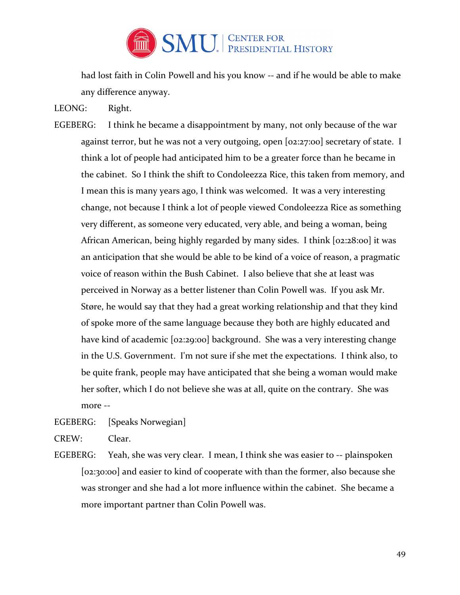

had lost faith in Colin Powell and his you know -- and if he would be able to make any difference anyway.

LEONG: Right.

EGEBERG: I think he became a disappointment by many, not only because of the war against terror, but he was not a very outgoing, open [02:27:00] secretary of state. I think a lot of people had anticipated him to be a greater force than he became in the cabinet. So I think the shift to Condoleezza Rice, this taken from memory, and I mean this is many years ago, I think was welcomed. It was a very interesting change, not because I think a lot of people viewed Condoleezza Rice as something very different, as someone very educated, very able, and being a woman, being African American, being highly regarded by many sides. I think [02:28:00] it was an anticipation that she would be able to be kind of a voice of reason, a pragmatic voice of reason within the Bush Cabinet. I also believe that she at least was perceived in Norway as a better listener than Colin Powell was. If you ask Mr. Støre, he would say that they had a great working relationship and that they kind of spoke more of the same language because they both are highly educated and have kind of academic [02:29:00] background. She was a very interesting change in the U.S. Government. I'm not sure if she met the expectations. I think also, to be quite frank, people may have anticipated that she being a woman would make her softer, which I do not believe she was at all, quite on the contrary. She was more --

EGEBERG: [Speaks Norwegian]

CREW: Clear.

EGEBERG: Yeah, she was very clear. I mean, I think she was easier to -- plainspoken [02:30:00] and easier to kind of cooperate with than the former, also because she was stronger and she had a lot more influence within the cabinet. She became a more important partner than Colin Powell was.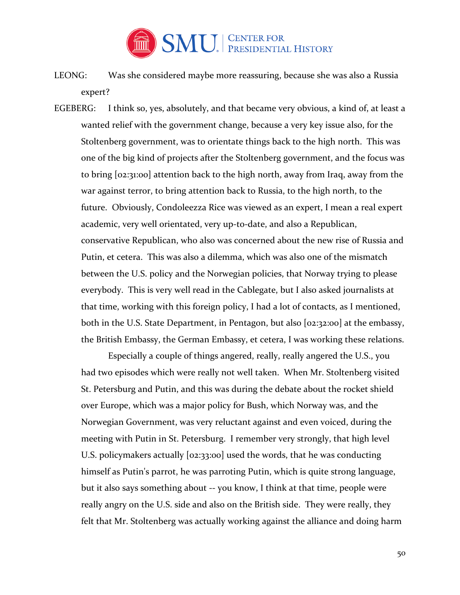

- LEONG: Was she considered maybe more reassuring, because she was also a Russia expert?
- EGEBERG: I think so, yes, absolutely, and that became very obvious, a kind of, at least a wanted relief with the government change, because a very key issue also, for the Stoltenberg government, was to orientate things back to the high north. This was one of the big kind of projects after the Stoltenberg government, and the focus was to bring [02:31:00] attention back to the high north, away from Iraq, away from the war against terror, to bring attention back to Russia, to the high north, to the future. Obviously, Condoleezza Rice was viewed as an expert, I mean a real expert academic, very well orientated, very up-to-date, and also a Republican, conservative Republican, who also was concerned about the new rise of Russia and Putin, et cetera. This was also a dilemma, which was also one of the mismatch between the U.S. policy and the Norwegian policies, that Norway trying to please everybody. This is very well read in the Cablegate, but I also asked journalists at that time, working with this foreign policy, I had a lot of contacts, as I mentioned, both in the U.S. State Department, in Pentagon, but also [02:32:00] at the embassy, the British Embassy, the German Embassy, et cetera, I was working these relations.

Especially a couple of things angered, really, really angered the U.S., you had two episodes which were really not well taken. When Mr. Stoltenberg visited St. Petersburg and Putin, and this was during the debate about the rocket shield over Europe, which was a major policy for Bush, which Norway was, and the Norwegian Government, was very reluctant against and even voiced, during the meeting with Putin in St. Petersburg. I remember very strongly, that high level U.S. policymakers actually [02:33:00] used the words, that he was conducting himself as Putin's parrot, he was parroting Putin, which is quite strong language, but it also says something about -- you know, I think at that time, people were really angry on the U.S. side and also on the British side. They were really, they felt that Mr. Stoltenberg was actually working against the alliance and doing harm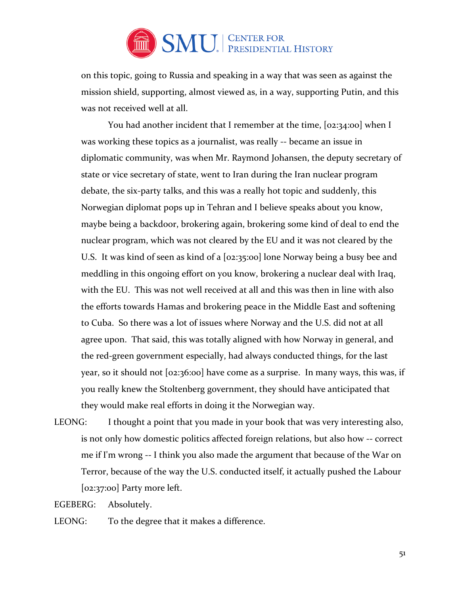

on this topic, going to Russia and speaking in a way that was seen as against the mission shield, supporting, almost viewed as, in a way, supporting Putin, and this was not received well at all.

You had another incident that I remember at the time, [02:34:00] when I was working these topics as a journalist, was really -- became an issue in diplomatic community, was when Mr. Raymond Johansen, the deputy secretary of state or vice secretary of state, went to Iran during the Iran nuclear program debate, the six-party talks, and this was a really hot topic and suddenly, this Norwegian diplomat pops up in Tehran and I believe speaks about you know, maybe being a backdoor, brokering again, brokering some kind of deal to end the nuclear program, which was not cleared by the EU and it was not cleared by the U.S. It was kind of seen as kind of a [02:35:00] lone Norway being a busy bee and meddling in this ongoing effort on you know, brokering a nuclear deal with Iraq, with the EU. This was not well received at all and this was then in line with also the efforts towards Hamas and brokering peace in the Middle East and softening to Cuba. So there was a lot of issues where Norway and the U.S. did not at all agree upon. That said, this was totally aligned with how Norway in general, and the red-green government especially, had always conducted things, for the last year, so it should not [02:36:00] have come as a surprise. In many ways, this was, if you really knew the Stoltenberg government, they should have anticipated that they would make real efforts in doing it the Norwegian way.

LEONG: I thought a point that you made in your book that was very interesting also, is not only how domestic politics affected foreign relations, but also how -- correct me if I'm wrong -- I think you also made the argument that because of the War on Terror, because of the way the U.S. conducted itself, it actually pushed the Labour [02:37:00] Party more left.

EGEBERG: Absolutely.

LEONG: To the degree that it makes a difference.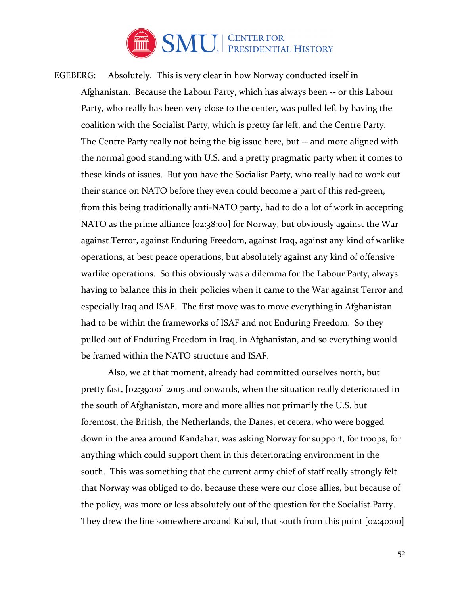

EGEBERG: Absolutely. This is very clear in how Norway conducted itself in Afghanistan. Because the Labour Party, which has always been -- or this Labour Party, who really has been very close to the center, was pulled left by having the coalition with the Socialist Party, which is pretty far left, and the Centre Party. The Centre Party really not being the big issue here, but -- and more aligned with the normal good standing with U.S. and a pretty pragmatic party when it comes to these kinds of issues. But you have the Socialist Party, who really had to work out their stance on NATO before they even could become a part of this red-green, from this being traditionally anti-NATO party, had to do a lot of work in accepting NATO as the prime alliance [02:38:00] for Norway, but obviously against the War against Terror, against Enduring Freedom, against Iraq, against any kind of warlike operations, at best peace operations, but absolutely against any kind of offensive warlike operations. So this obviously was a dilemma for the Labour Party, always having to balance this in their policies when it came to the War against Terror and especially Iraq and ISAF. The first move was to move everything in Afghanistan had to be within the frameworks of ISAF and not Enduring Freedom. So they pulled out of Enduring Freedom in Iraq, in Afghanistan, and so everything would be framed within the NATO structure and ISAF.

Also, we at that moment, already had committed ourselves north, but pretty fast, [02:39:00] 2005 and onwards, when the situation really deteriorated in the south of Afghanistan, more and more allies not primarily the U.S. but foremost, the British, the Netherlands, the Danes, et cetera, who were bogged down in the area around Kandahar, was asking Norway for support, for troops, for anything which could support them in this deteriorating environment in the south. This was something that the current army chief of staff really strongly felt that Norway was obliged to do, because these were our close allies, but because of the policy, was more or less absolutely out of the question for the Socialist Party. They drew the line somewhere around Kabul, that south from this point [02:40:00]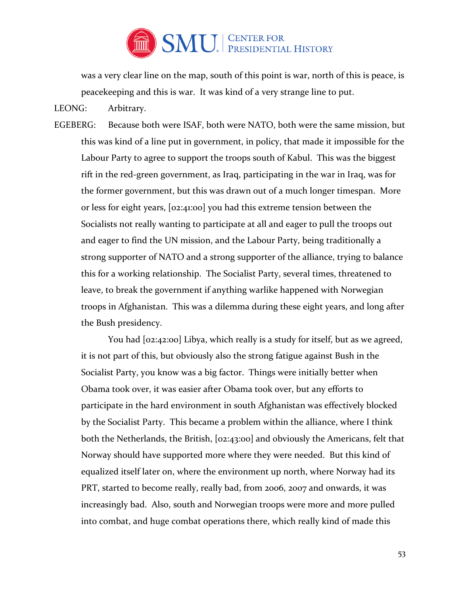

was a very clear line on the map, south of this point is war, north of this is peace, is peacekeeping and this is war. It was kind of a very strange line to put.

LEONG: Arbitrary.

EGEBERG: Because both were ISAF, both were NATO, both were the same mission, but this was kind of a line put in government, in policy, that made it impossible for the Labour Party to agree to support the troops south of Kabul. This was the biggest rift in the red-green government, as Iraq, participating in the war in Iraq, was for the former government, but this was drawn out of a much longer timespan. More or less for eight years, [02:41:00] you had this extreme tension between the Socialists not really wanting to participate at all and eager to pull the troops out and eager to find the UN mission, and the Labour Party, being traditionally a strong supporter of NATO and a strong supporter of the alliance, trying to balance this for a working relationship. The Socialist Party, several times, threatened to leave, to break the government if anything warlike happened with Norwegian troops in Afghanistan. This was a dilemma during these eight years, and long after the Bush presidency.

You had [02:42:00] Libya, which really is a study for itself, but as we agreed, it is not part of this, but obviously also the strong fatigue against Bush in the Socialist Party, you know was a big factor. Things were initially better when Obama took over, it was easier after Obama took over, but any efforts to participate in the hard environment in south Afghanistan was effectively blocked by the Socialist Party. This became a problem within the alliance, where I think both the Netherlands, the British, [02:43:00] and obviously the Americans, felt that Norway should have supported more where they were needed. But this kind of equalized itself later on, where the environment up north, where Norway had its PRT, started to become really, really bad, from 2006, 2007 and onwards, it was increasingly bad. Also, south and Norwegian troops were more and more pulled into combat, and huge combat operations there, which really kind of made this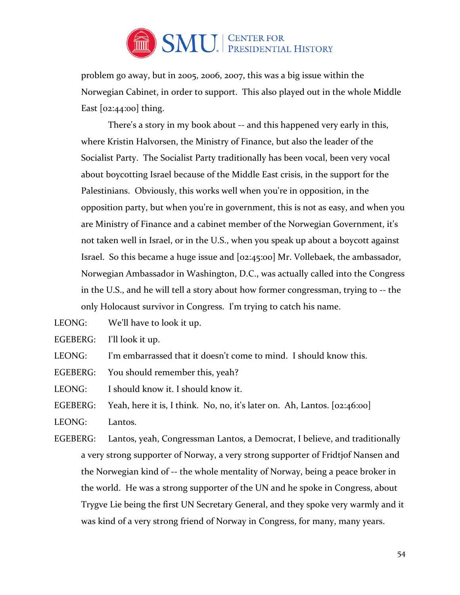

problem go away, but in 2005, 2006, 2007, this was a big issue within the Norwegian Cabinet, in order to support. This also played out in the whole Middle East  $[02:44:00]$  thing.

 There's a story in my book about -- and this happened very early in this, where Kristin Halvorsen, the Ministry of Finance, but also the leader of the Socialist Party. The Socialist Party traditionally has been vocal, been very vocal about boycotting Israel because of the Middle East crisis, in the support for the Palestinians. Obviously, this works well when you're in opposition, in the opposition party, but when you're in government, this is not as easy, and when you are Ministry of Finance and a cabinet member of the Norwegian Government, it's not taken well in Israel, or in the U.S., when you speak up about a boycott against Israel. So this became a huge issue and [02:45:00] Mr. Vollebaek, the ambassador, Norwegian Ambassador in Washington, D.C., was actually called into the Congress in the U.S., and he will tell a story about how former congressman, trying to -- the only Holocaust survivor in Congress. I'm trying to catch his name.

LEONG: We'll have to look it up.

EGEBERG: I'll look it up.

LEONG: I'm embarrassed that it doesn't come to mind. I should know this.

EGEBERG: You should remember this, yeah?

LEONG: I should know it. I should know it.

EGEBERG: Yeah, here it is, I think. No, no, it's later on. Ah, Lantos. [02:46:00]

LEONG: Lantos.

EGEBERG: Lantos, yeah, Congressman Lantos, a Democrat, I believe, and traditionally a very strong supporter of Norway, a very strong supporter of Fridtjof Nansen and the Norwegian kind of -- the whole mentality of Norway, being a peace broker in the world. He was a strong supporter of the UN and he spoke in Congress, about Trygve Lie being the first UN Secretary General, and they spoke very warmly and it was kind of a very strong friend of Norway in Congress, for many, many years.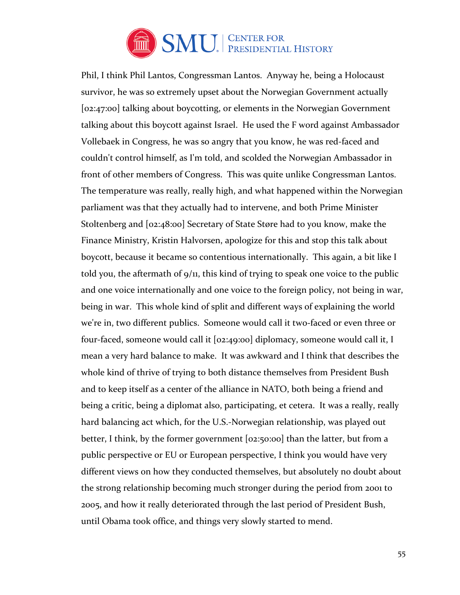

Phil, I think Phil Lantos, Congressman Lantos. Anyway he, being a Holocaust survivor, he was so extremely upset about the Norwegian Government actually [02:47:00] talking about boycotting, or elements in the Norwegian Government talking about this boycott against Israel. He used the F word against Ambassador Vollebaek in Congress, he was so angry that you know, he was red-faced and couldn't control himself, as I'm told, and scolded the Norwegian Ambassador in front of other members of Congress. This was quite unlike Congressman Lantos. The temperature was really, really high, and what happened within the Norwegian parliament was that they actually had to intervene, and both Prime Minister Stoltenberg and [02:48:00] Secretary of State Støre had to you know, make the Finance Ministry, Kristin Halvorsen, apologize for this and stop this talk about boycott, because it became so contentious internationally. This again, a bit like I told you, the aftermath of 9/11, this kind of trying to speak one voice to the public and one voice internationally and one voice to the foreign policy, not being in war, being in war. This whole kind of split and different ways of explaining the world we're in, two different publics. Someone would call it two-faced or even three or four-faced, someone would call it [02:49:00] diplomacy, someone would call it, I mean a very hard balance to make. It was awkward and I think that describes the whole kind of thrive of trying to both distance themselves from President Bush and to keep itself as a center of the alliance in NATO, both being a friend and being a critic, being a diplomat also, participating, et cetera. It was a really, really hard balancing act which, for the U.S.-Norwegian relationship, was played out better, I think, by the former government [02:50:00] than the latter, but from a public perspective or EU or European perspective, I think you would have very different views on how they conducted themselves, but absolutely no doubt about the strong relationship becoming much stronger during the period from 2001 to 2005, and how it really deteriorated through the last period of President Bush, until Obama took office, and things very slowly started to mend.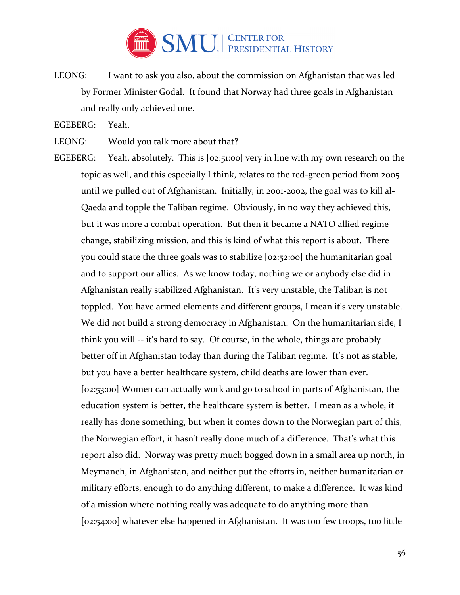

LEONG: I want to ask you also, about the commission on Afghanistan that was led by Former Minister Godal. It found that Norway had three goals in Afghanistan and really only achieved one.

EGEBERG: Yeah.

- LEONG: Would you talk more about that?
- EGEBERG: Yeah, absolutely. This is [02:51:00] very in line with my own research on the topic as well, and this especially I think, relates to the red-green period from 2005 until we pulled out of Afghanistan. Initially, in 2001-2002, the goal was to kill al-Qaeda and topple the Taliban regime. Obviously, in no way they achieved this, but it was more a combat operation. But then it became a NATO allied regime change, stabilizing mission, and this is kind of what this report is about. There you could state the three goals was to stabilize [02:52:00] the humanitarian goal and to support our allies. As we know today, nothing we or anybody else did in Afghanistan really stabilized Afghanistan. It's very unstable, the Taliban is not toppled. You have armed elements and different groups, I mean it's very unstable. We did not build a strong democracy in Afghanistan. On the humanitarian side, I think you will -- it's hard to say. Of course, in the whole, things are probably better off in Afghanistan today than during the Taliban regime. It's not as stable, but you have a better healthcare system, child deaths are lower than ever. [02:53:00] Women can actually work and go to school in parts of Afghanistan, the education system is better, the healthcare system is better. I mean as a whole, it really has done something, but when it comes down to the Norwegian part of this, the Norwegian effort, it hasn't really done much of a difference. That's what this report also did. Norway was pretty much bogged down in a small area up north, in Meymaneh, in Afghanistan, and neither put the efforts in, neither humanitarian or military efforts, enough to do anything different, to make a difference. It was kind of a mission where nothing really was adequate to do anything more than [02:54:00] whatever else happened in Afghanistan. It was too few troops, too little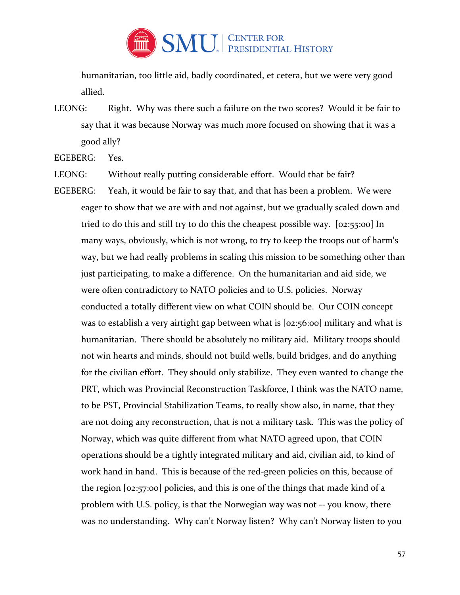

humanitarian, too little aid, badly coordinated, et cetera, but we were very good allied.

LEONG: Right. Why was there such a failure on the two scores? Would it be fair to say that it was because Norway was much more focused on showing that it was a good ally?

EGEBERG: Yes.

LEONG: Without really putting considerable effort. Would that be fair?

EGEBERG: Yeah, it would be fair to say that, and that has been a problem. We were eager to show that we are with and not against, but we gradually scaled down and tried to do this and still try to do this the cheapest possible way. [02:55:00] In many ways, obviously, which is not wrong, to try to keep the troops out of harm's way, but we had really problems in scaling this mission to be something other than just participating, to make a difference. On the humanitarian and aid side, we were often contradictory to NATO policies and to U.S. policies. Norway conducted a totally different view on what COIN should be. Our COIN concept was to establish a very airtight gap between what is [02:56:00] military and what is humanitarian. There should be absolutely no military aid. Military troops should not win hearts and minds, should not build wells, build bridges, and do anything for the civilian effort. They should only stabilize. They even wanted to change the PRT, which was Provincial Reconstruction Taskforce, I think was the NATO name, to be PST, Provincial Stabilization Teams, to really show also, in name, that they are not doing any reconstruction, that is not a military task. This was the policy of Norway, which was quite different from what NATO agreed upon, that COIN operations should be a tightly integrated military and aid, civilian aid, to kind of work hand in hand. This is because of the red-green policies on this, because of the region [02:57:00] policies, and this is one of the things that made kind of a problem with U.S. policy, is that the Norwegian way was not -- you know, there was no understanding. Why can't Norway listen? Why can't Norway listen to you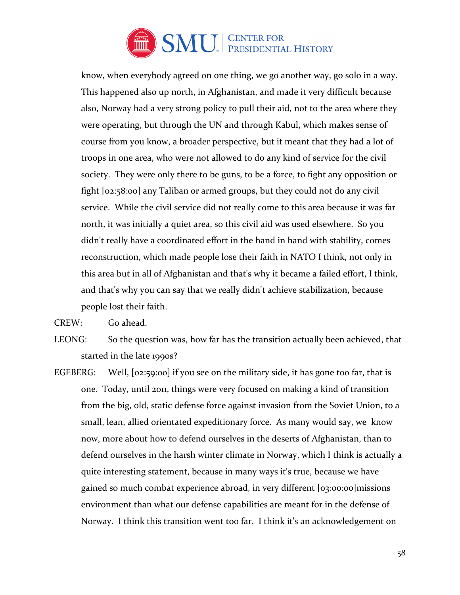

know, when everybody agreed on one thing, we go another way, go solo in a way. This happened also up north, in Afghanistan, and made it very difficult because also, Norway had a very strong policy to pull their aid, not to the area where they were operating, but through the UN and through Kabul, which makes sense of course from you know, a broader perspective, but it meant that they had a lot of troops in one area, who were not allowed to do any kind of service for the civil society. They were only there to be guns, to be a force, to fight any opposition or fight [02:58:00] any Taliban or armed groups, but they could not do any civil service. While the civil service did not really come to this area because it was far north, it was initially a quiet area, so this civil aid was used elsewhere. So you didn't really have a coordinated effort in the hand in hand with stability, comes reconstruction, which made people lose their faith in NATO I think, not only in this area but in all of Afghanistan and that's why it became a failed effort, I think, and that's why you can say that we really didn't achieve stabilization, because people lost their faith.

CREW: Go ahead.

LEONG: So the question was, how far has the transition actually been achieved, that started in the late 1990s?

EGEBERG: Well,  $[02:59:00]$  if you see on the military side, it has gone too far, that is one. Today, until 2011, things were very focused on making a kind of transition from the big, old, static defense force against invasion from the Soviet Union, to a small, lean, allied orientated expeditionary force. As many would say, we know now, more about how to defend ourselves in the deserts of Afghanistan, than to defend ourselves in the harsh winter climate in Norway, which I think is actually a quite interesting statement, because in many ways it's true, because we have gained so much combat experience abroad, in very different [03:00:00]missions environment than what our defense capabilities are meant for in the defense of Norway. I think this transition went too far. I think it's an acknowledgement on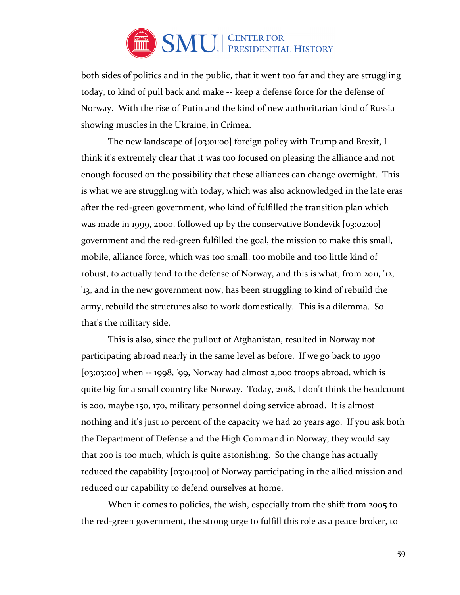

both sides of politics and in the public, that it went too far and they are struggling today, to kind of pull back and make -- keep a defense force for the defense of Norway. With the rise of Putin and the kind of new authoritarian kind of Russia showing muscles in the Ukraine, in Crimea.

The new landscape of [03:01:00] foreign policy with Trump and Brexit, I think it's extremely clear that it was too focused on pleasing the alliance and not enough focused on the possibility that these alliances can change overnight. This is what we are struggling with today, which was also acknowledged in the late eras after the red-green government, who kind of fulfilled the transition plan which was made in 1999, 2000, followed up by the conservative Bondevik [03:02:00] government and the red-green fulfilled the goal, the mission to make this small, mobile, alliance force, which was too small, too mobile and too little kind of robust, to actually tend to the defense of Norway, and this is what, from 2011, '12, '13, and in the new government now, has been struggling to kind of rebuild the army, rebuild the structures also to work domestically. This is a dilemma. So that's the military side.

This is also, since the pullout of Afghanistan, resulted in Norway not participating abroad nearly in the same level as before. If we go back to 1990 [03:03:00] when -- 1998, '99, Norway had almost 2,000 troops abroad, which is quite big for a small country like Norway. Today, 2018, I don't think the headcount is 200, maybe 150, 170, military personnel doing service abroad. It is almost nothing and it's just 10 percent of the capacity we had 20 years ago. If you ask both the Department of Defense and the High Command in Norway, they would say that 200 is too much, which is quite astonishing. So the change has actually reduced the capability [03:04:00] of Norway participating in the allied mission and reduced our capability to defend ourselves at home.

When it comes to policies, the wish, especially from the shift from 2005 to the red-green government, the strong urge to fulfill this role as a peace broker, to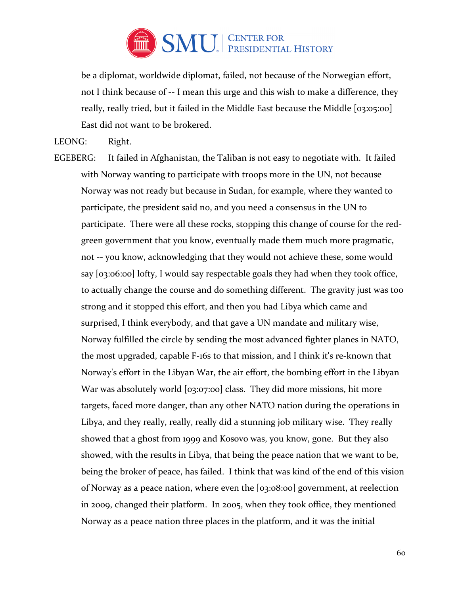

be a diplomat, worldwide diplomat, failed, not because of the Norwegian effort, not I think because of -- I mean this urge and this wish to make a difference, they really, really tried, but it failed in the Middle East because the Middle [03:05:00] East did not want to be brokered.

LEONG: Right.

EGEBERG: It failed in Afghanistan, the Taliban is not easy to negotiate with. It failed with Norway wanting to participate with troops more in the UN, not because Norway was not ready but because in Sudan, for example, where they wanted to participate, the president said no, and you need a consensus in the UN to participate. There were all these rocks, stopping this change of course for the redgreen government that you know, eventually made them much more pragmatic, not -- you know, acknowledging that they would not achieve these, some would say [03:06:00] lofty, I would say respectable goals they had when they took office, to actually change the course and do something different. The gravity just was too strong and it stopped this effort, and then you had Libya which came and surprised, I think everybody, and that gave a UN mandate and military wise, Norway fulfilled the circle by sending the most advanced fighter planes in NATO, the most upgraded, capable F-16s to that mission, and I think it's re-known that Norway's effort in the Libyan War, the air effort, the bombing effort in the Libyan War was absolutely world [03:07:00] class. They did more missions, hit more targets, faced more danger, than any other NATO nation during the operations in Libya, and they really, really, really did a stunning job military wise. They really showed that a ghost from 1999 and Kosovo was, you know, gone. But they also showed, with the results in Libya, that being the peace nation that we want to be, being the broker of peace, has failed. I think that was kind of the end of this vision of Norway as a peace nation, where even the [03:08:00] government, at reelection in 2009, changed their platform. In 2005, when they took office, they mentioned Norway as a peace nation three places in the platform, and it was the initial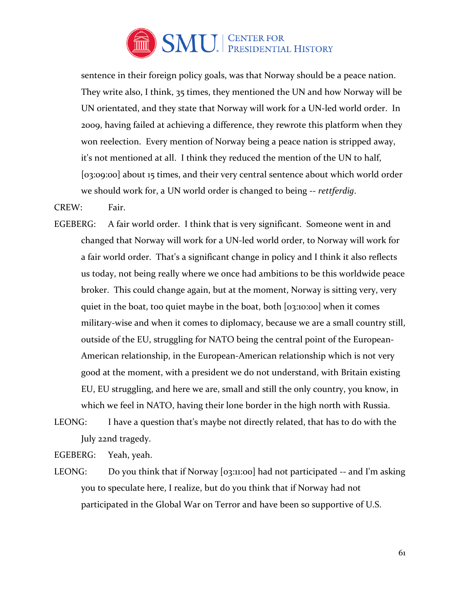

sentence in their foreign policy goals, was that Norway should be a peace nation. They write also, I think, 35 times, they mentioned the UN and how Norway will be UN orientated, and they state that Norway will work for a UN-led world order. In 2009, having failed at achieving a difference, they rewrote this platform when they won reelection. Every mention of Norway being a peace nation is stripped away, it's not mentioned at all. I think they reduced the mention of the UN to half, [03:09:00] about 15 times, and their very central sentence about which world order we should work for, a UN world order is changed to being -- *rettferdig*.

## CREW: Fair.

- EGEBERG: A fair world order. I think that is very significant. Someone went in and changed that Norway will work for a UN-led world order, to Norway will work for a fair world order. That's a significant change in policy and I think it also reflects us today, not being really where we once had ambitions to be this worldwide peace broker. This could change again, but at the moment, Norway is sitting very, very quiet in the boat, too quiet maybe in the boat, both [03:10:00] when it comes military-wise and when it comes to diplomacy, because we are a small country still, outside of the EU, struggling for NATO being the central point of the European-American relationship, in the European-American relationship which is not very good at the moment, with a president we do not understand, with Britain existing EU, EU struggling, and here we are, small and still the only country, you know, in which we feel in NATO, having their lone border in the high north with Russia.
- LEONG: I have a question that's maybe not directly related, that has to do with the July 22nd tragedy.

EGEBERG: Yeah, yeah.

LEONG: Do you think that if Norway [03:11:00] had not participated -- and I'm asking you to speculate here, I realize, but do you think that if Norway had not participated in the Global War on Terror and have been so supportive of U.S.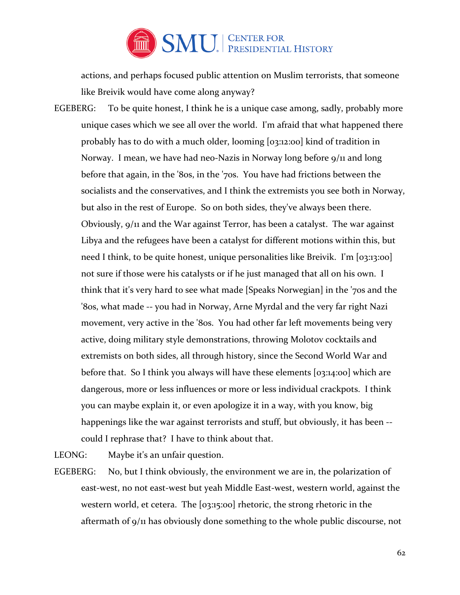

actions, and perhaps focused public attention on Muslim terrorists, that someone like Breivik would have come along anyway?

EGEBERG: To be quite honest, I think he is a unique case among, sadly, probably more unique cases which we see all over the world. I'm afraid that what happened there probably has to do with a much older, looming [03:12:00] kind of tradition in Norway. I mean, we have had neo-Nazis in Norway long before 9/11 and long before that again, in the '80s, in the '70s. You have had frictions between the socialists and the conservatives, and I think the extremists you see both in Norway, but also in the rest of Europe. So on both sides, they've always been there. Obviously, 9/11 and the War against Terror, has been a catalyst. The war against Libya and the refugees have been a catalyst for different motions within this, but need I think, to be quite honest, unique personalities like Breivik. I'm [03:13:00] not sure if those were his catalysts or if he just managed that all on his own. I think that it's very hard to see what made [Speaks Norwegian] in the '70s and the '80s, what made -- you had in Norway, Arne Myrdal and the very far right Nazi movement, very active in the '80s. You had other far left movements being very active, doing military style demonstrations, throwing Molotov cocktails and extremists on both sides, all through history, since the Second World War and before that. So I think you always will have these elements [03:14:00] which are dangerous, more or less influences or more or less individual crackpots. I think you can maybe explain it, or even apologize it in a way, with you know, big happenings like the war against terrorists and stuff, but obviously, it has been - could I rephrase that? I have to think about that.

LEONG: Maybe it's an unfair question.

EGEBERG: No, but I think obviously, the environment we are in, the polarization of east-west, no not east-west but yeah Middle East-west, western world, against the western world, et cetera. The [03:15:00] rhetoric, the strong rhetoric in the aftermath of 9/11 has obviously done something to the whole public discourse, not